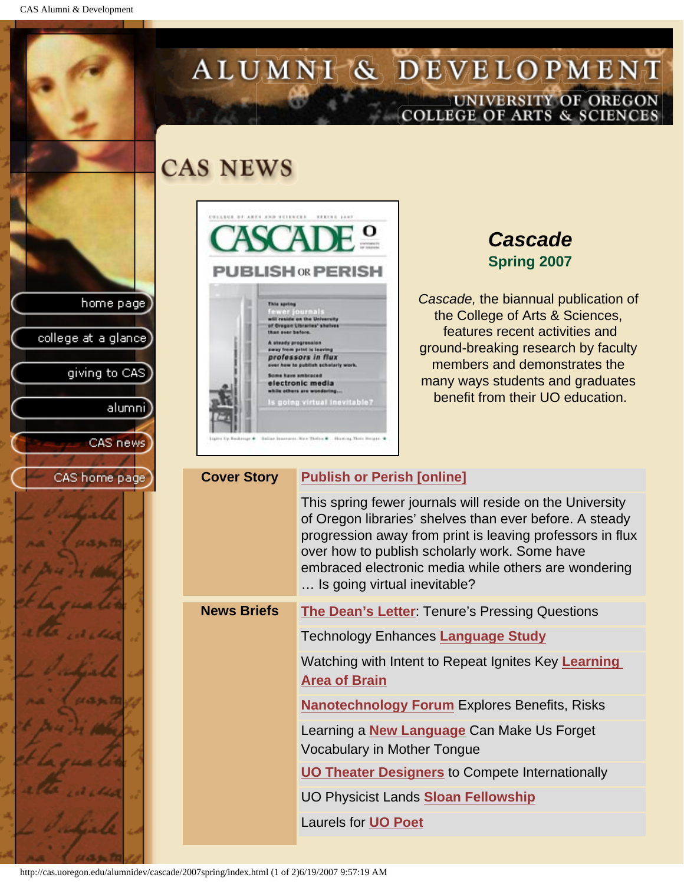CAS Alumni & Development

home page

college at a glance]

CAS home

giving to CAS

alumni

CAS news

# ALUMNI & DEVELOPMENT UNIVERSITY OF OREGON<br>COLLEGE OF ARTS & SCIENCES

## **CAS NEWS**



## *Cascade* **Spring 2007**

*Cascade,* the biannual publication of the College of Arts & Sciences, features recent activities and ground-breaking research by faculty members and demonstrates the many ways students and graduates benefit from their UO education.

| page | <b>Cover Story</b> | <b>Publish or Perish [online]</b>                                                                                                                                                                                                                                                                                         |
|------|--------------------|---------------------------------------------------------------------------------------------------------------------------------------------------------------------------------------------------------------------------------------------------------------------------------------------------------------------------|
|      |                    | This spring fewer journals will reside on the University<br>of Oregon libraries' shelves than ever before. A steady<br>progression away from print is leaving professors in flux<br>over how to publish scholarly work. Some have<br>embraced electronic media while others are wondering<br>Is going virtual inevitable? |
|      | <b>News Briefs</b> | <b>The Dean's Letter: Tenure's Pressing Questions</b>                                                                                                                                                                                                                                                                     |
|      |                    | Technology Enhances Language Study                                                                                                                                                                                                                                                                                        |
|      |                    | Watching with Intent to Repeat Ignites Key Learning<br><b>Area of Brain</b>                                                                                                                                                                                                                                               |
|      |                    | <b>Nanotechnology Forum Explores Benefits, Risks</b>                                                                                                                                                                                                                                                                      |
|      |                    | Learning a <b>New Language</b> Can Make Us Forget<br>Vocabulary in Mother Tongue                                                                                                                                                                                                                                          |
|      |                    | <b>UO Theater Designers to Compete Internationally</b>                                                                                                                                                                                                                                                                    |
|      |                    | UO Physicist Lands <b>Sloan Fellowship</b>                                                                                                                                                                                                                                                                                |
|      |                    | Laurels for <b>UO Poet</b>                                                                                                                                                                                                                                                                                                |

http://cas.uoregon.edu/alumnidev/cascade/2007spring/index.html (1 of 2)6/19/2007 9:57:19 AM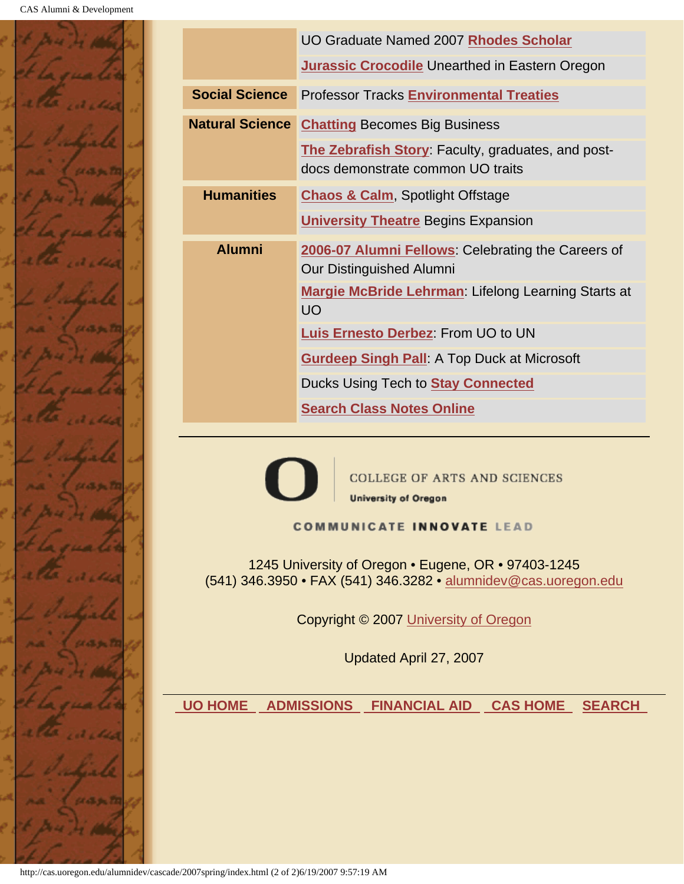

| UO Graduate Named 2007 Rhodes Scholar<br><b>Jurassic Crocodile Unearthed in Eastern Oregon</b>                                                                                                                                                                                                      |                                                                                                        |  |  |  |  |
|-----------------------------------------------------------------------------------------------------------------------------------------------------------------------------------------------------------------------------------------------------------------------------------------------------|--------------------------------------------------------------------------------------------------------|--|--|--|--|
| <b>Social Science</b>                                                                                                                                                                                                                                                                               |                                                                                                        |  |  |  |  |
|                                                                                                                                                                                                                                                                                                     | <b>Professor Tracks Environmental Treaties</b>                                                         |  |  |  |  |
|                                                                                                                                                                                                                                                                                                     | <b>Natural Science Chatting Becomes Big Business</b>                                                   |  |  |  |  |
|                                                                                                                                                                                                                                                                                                     | The Zebrafish Story: Faculty, graduates, and post-<br>docs demonstrate common UO traits                |  |  |  |  |
| <b>Humanities</b>                                                                                                                                                                                                                                                                                   | <b>Chaos &amp; Calm, Spotlight Offstage</b>                                                            |  |  |  |  |
|                                                                                                                                                                                                                                                                                                     | <b>University Theatre Begins Expansion</b>                                                             |  |  |  |  |
| <b>Alumni</b>                                                                                                                                                                                                                                                                                       | 2006-07 Alumni Fellows: Celebrating the Careers of<br>Our Distinguished Alumni                         |  |  |  |  |
|                                                                                                                                                                                                                                                                                                     | Margie McBride Lehrman: Lifelong Learning Starts at<br><b>UO</b><br>Luis Ernesto Derbez: From UO to UN |  |  |  |  |
|                                                                                                                                                                                                                                                                                                     |                                                                                                        |  |  |  |  |
|                                                                                                                                                                                                                                                                                                     | <b>Gurdeep Singh Pall:</b> A Top Duck at Microsoft                                                     |  |  |  |  |
|                                                                                                                                                                                                                                                                                                     | Ducks Using Tech to <b>Stay Connected</b>                                                              |  |  |  |  |
|                                                                                                                                                                                                                                                                                                     | <b>Search Class Notes Online</b>                                                                       |  |  |  |  |
| <b>COLLEGE OF ARTS AND SCIENCES</b><br><b>University of Oregon</b><br><b>COMMUNICATE INNOVATE LEAD</b><br>1245 University of Oregon • Eugene, OR • 97403-1245<br>(541) 346.3950 • FAX (541) 346.3282 • alumnidev@cas.uoregon.edu<br>Copyright © 2007 University of Oregon<br>Updated April 27, 2007 |                                                                                                        |  |  |  |  |
| <b>UO HOME</b>                                                                                                                                                                                                                                                                                      | <b>FINANCIAL AID CAS HOME</b><br><b>ADMISSIONS</b><br><b>SEARCH</b>                                    |  |  |  |  |
|                                                                                                                                                                                                                                                                                                     |                                                                                                        |  |  |  |  |

http://cas.uoregon.edu/alumnidev/cascade/2007spring/index.html (2 of 2)6/19/2007 9:57:19 AM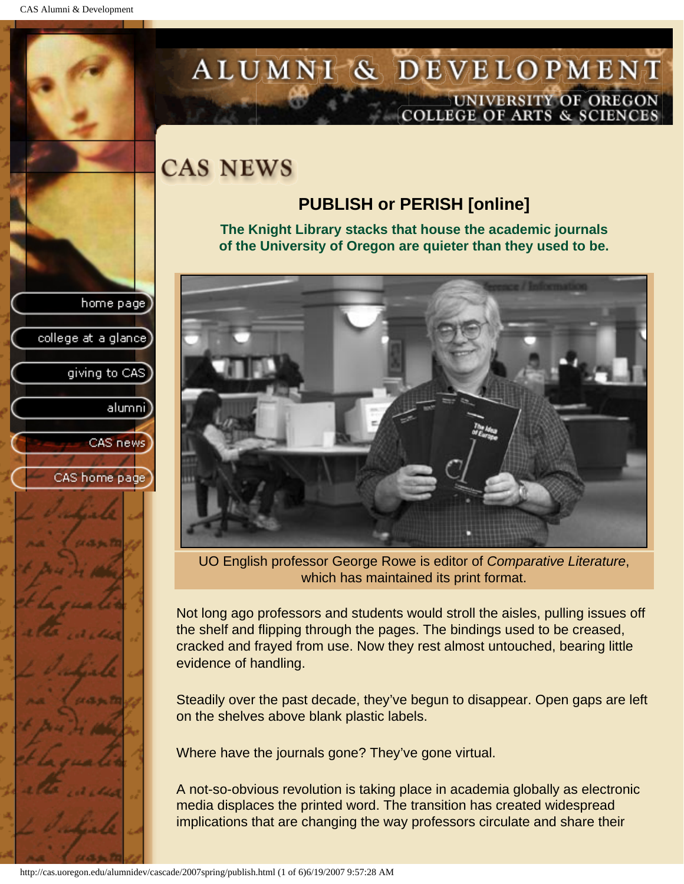college at a glance]

giving to CAS

alumnil

CAS news

CAS home page

# <span id="page-2-0"></span>ALUMNI & DEVELOPMENT UNIVERSITY OF OREGON<br>COLLEGE OF ARTS & SCIENCES

# **CAS NEWS**

## **PUBLISH or PERISH [online]**

**The Knight Library stacks that house the academic journals of the University of Oregon are quieter than they used to be.**



UO English professor George Rowe is editor of *Comparative Literature*, which has maintained its print format.

Not long ago professors and students would stroll the aisles, pulling issues off the shelf and flipping through the pages. The bindings used to be creased, cracked and frayed from use. Now they rest almost untouched, bearing little evidence of handling.

Steadily over the past decade, they've begun to disappear. Open gaps are left on the shelves above blank plastic labels.

Where have the journals gone? They've gone virtual.

A not-so-obvious revolution is taking place in academia globally as electronic media displaces the printed word. The transition has created widespread implications that are changing the way professors circulate and share their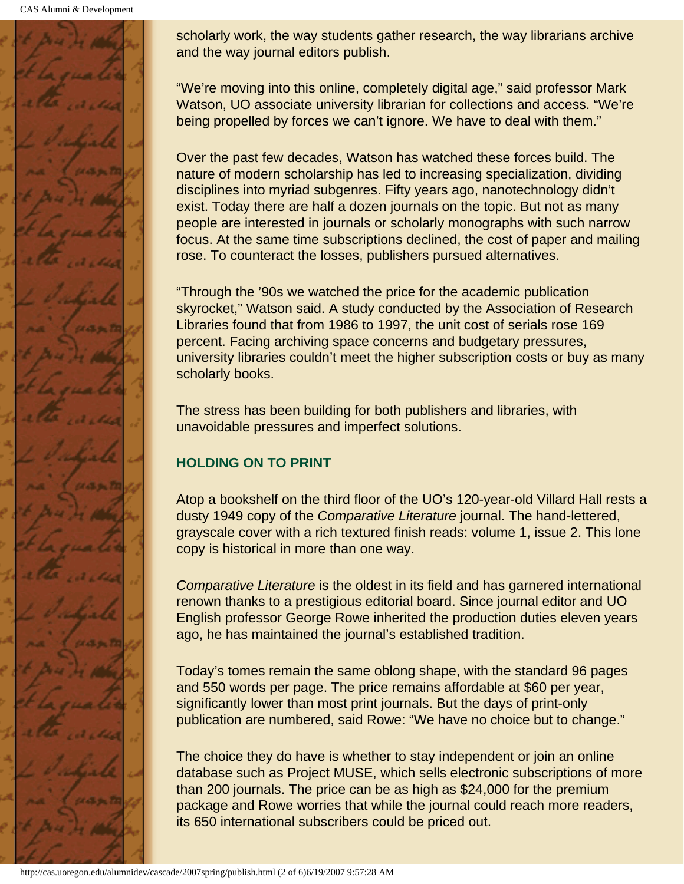CAS Alumni & Development



scholarly work, the way students gather research, the way librarians archive and the way journal editors publish.

"We're moving into this online, completely digital age," said professor Mark Watson, UO associate university librarian for collections and access. "We're being propelled by forces we can't ignore. We have to deal with them."

Over the past few decades, Watson has watched these forces build. The nature of modern scholarship has led to increasing specialization, dividing disciplines into myriad subgenres. Fifty years ago, nanotechnology didn't exist. Today there are half a dozen journals on the topic. But not as many people are interested in journals or scholarly monographs with such narrow focus. At the same time subscriptions declined, the cost of paper and mailing rose. To counteract the losses, publishers pursued alternatives.

"Through the '90s we watched the price for the academic publication skyrocket," Watson said. A study conducted by the Association of Research Libraries found that from 1986 to 1997, the unit cost of serials rose 169 percent. Facing archiving space concerns and budgetary pressures, university libraries couldn't meet the higher subscription costs or buy as many scholarly books.

The stress has been building for both publishers and libraries, with unavoidable pressures and imperfect solutions.

### **HOLDING ON TO PRINT**

Atop a bookshelf on the third floor of the UO's 120-year-old Villard Hall rests a dusty 1949 copy of the *Comparative Literature* journal. The hand-lettered, grayscale cover with a rich textured finish reads: volume 1, issue 2. This lone copy is historical in more than one way.

*Comparative Literature* is the oldest in its field and has garnered international renown thanks to a prestigious editorial board. Since journal editor and UO English professor George Rowe inherited the production duties eleven years ago, he has maintained the journal's established tradition.

Today's tomes remain the same oblong shape, with the standard 96 pages and 550 words per page. The price remains affordable at \$60 per year, significantly lower than most print journals. But the days of print-only publication are numbered, said Rowe: "We have no choice but to change."

The choice they do have is whether to stay independent or join an online database such as Project MUSE, which sells electronic subscriptions of more than 200 journals. The price can be as high as \$24,000 for the premium package and Rowe worries that while the journal could reach more readers, its 650 international subscribers could be priced out.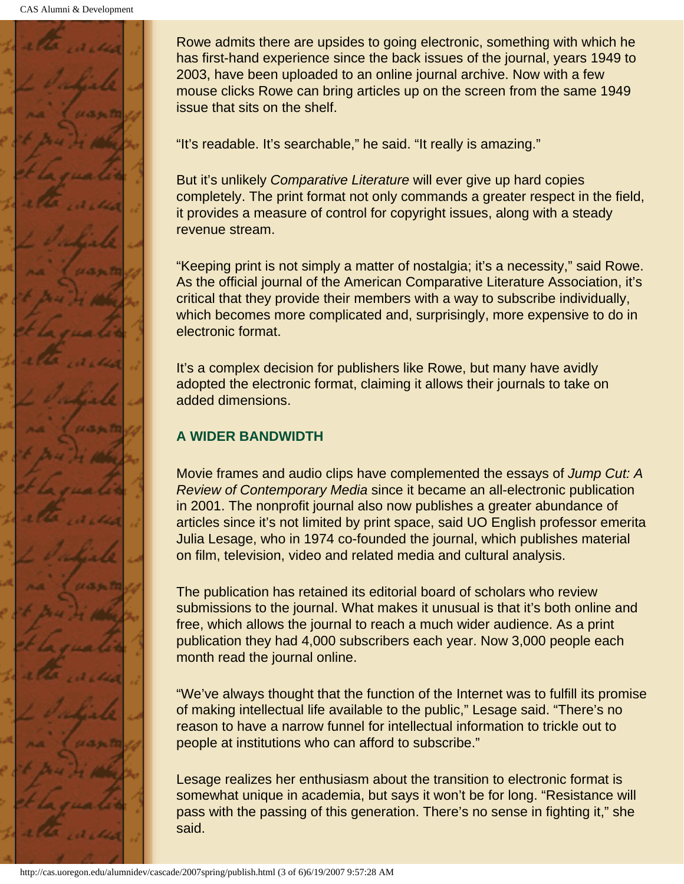

Rowe admits there are upsides to going electronic, something with which he has first-hand experience since the back issues of the journal, years 1949 to 2003, have been uploaded to an online journal archive. Now with a few mouse clicks Rowe can bring articles up on the screen from the same 1949 issue that sits on the shelf.

"It's readable. It's searchable," he said. "It really is amazing."

But it's unlikely *Comparative Literature* will ever give up hard copies completely. The print format not only commands a greater respect in the field, it provides a measure of control for copyright issues, along with a steady revenue stream.

"Keeping print is not simply a matter of nostalgia; it's a necessity," said Rowe. As the official journal of the American Comparative Literature Association, it's critical that they provide their members with a way to subscribe individually, which becomes more complicated and, surprisingly, more expensive to do in electronic format.

It's a complex decision for publishers like Rowe, but many have avidly adopted the electronic format, claiming it allows their journals to take on added dimensions.

#### **A WIDER BANDWIDTH**

Movie frames and audio clips have complemented the essays of *Jump Cut: A Review of Contemporary Media* since it became an all-electronic publication in 2001. The nonprofit journal also now publishes a greater abundance of articles since it's not limited by print space, said UO English professor emerita Julia Lesage, who in 1974 co-founded the journal, which publishes material on film, television, video and related media and cultural analysis.

The publication has retained its editorial board of scholars who review submissions to the journal. What makes it unusual is that it's both online and free, which allows the journal to reach a much wider audience. As a print publication they had 4,000 subscribers each year. Now 3,000 people each month read the journal online.

"We've always thought that the function of the Internet was to fulfill its promise of making intellectual life available to the public," Lesage said. "There's no reason to have a narrow funnel for intellectual information to trickle out to people at institutions who can afford to subscribe."

Lesage realizes her enthusiasm about the transition to electronic format is somewhat unique in academia, but says it won't be for long. "Resistance will pass with the passing of this generation. There's no sense in fighting it," she said.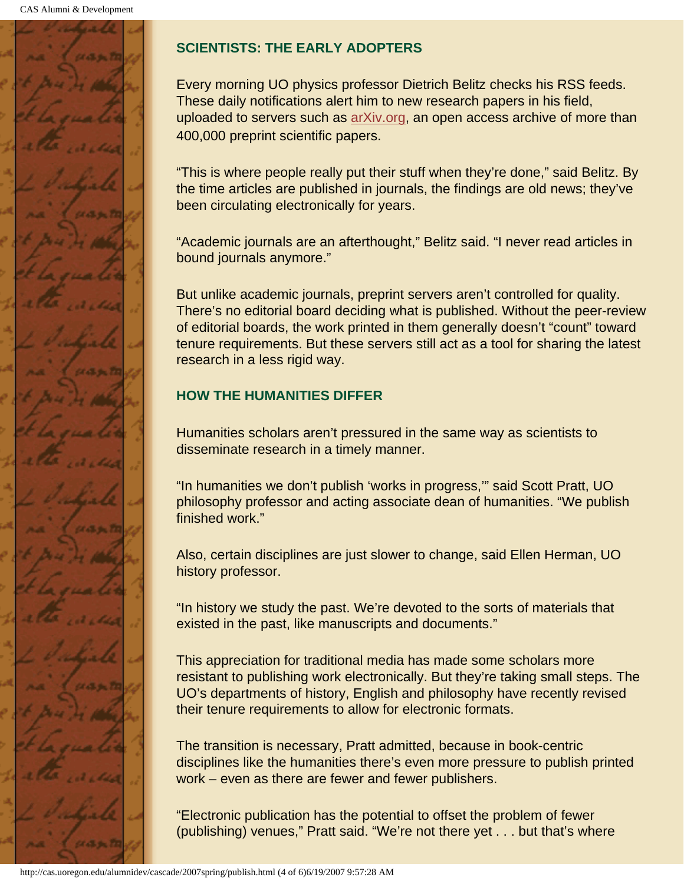

### **SCIENTISTS: THE EARLY ADOPTERS**

Every morning UO physics professor Dietrich Belitz checks his RSS feeds. These daily notifications alert him to new research papers in his field, uploaded to servers such as arXiv.org, an open access archive of more than 400,000 preprint scientific papers.

"This is where people really put their stuff when they're done," said Belitz. By the time articles are published in journals, the findings are old news; they've been circulating electronically for years.

"Academic journals are an afterthought," Belitz said. "I never read articles in bound journals anymore."

But unlike academic journals, preprint servers aren't controlled for quality. There's no editorial board deciding what is published. Without the peer-review of editorial boards, the work printed in them generally doesn't "count" toward tenure requirements. But these servers still act as a tool for sharing the latest research in a less rigid way.

### **HOW THE HUMANITIES DIFFER**

Humanities scholars aren't pressured in the same way as scientists to disseminate research in a timely manner.

"In humanities we don't publish 'works in progress,'" said Scott Pratt, UO philosophy professor and acting associate dean of humanities. "We publish finished work."

Also, certain disciplines are just slower to change, said Ellen Herman, UO history professor.

"In history we study the past. We're devoted to the sorts of materials that existed in the past, like manuscripts and documents."

This appreciation for traditional media has made some scholars more resistant to publishing work electronically. But they're taking small steps. The UO's departments of history, English and philosophy have recently revised their tenure requirements to allow for electronic formats.

The transition is necessary, Pratt admitted, because in book-centric disciplines like the humanities there's even more pressure to publish printed work – even as there are fewer and fewer publishers.

"Electronic publication has the potential to offset the problem of fewer (publishing) venues," Pratt said. "We're not there yet . . . but that's where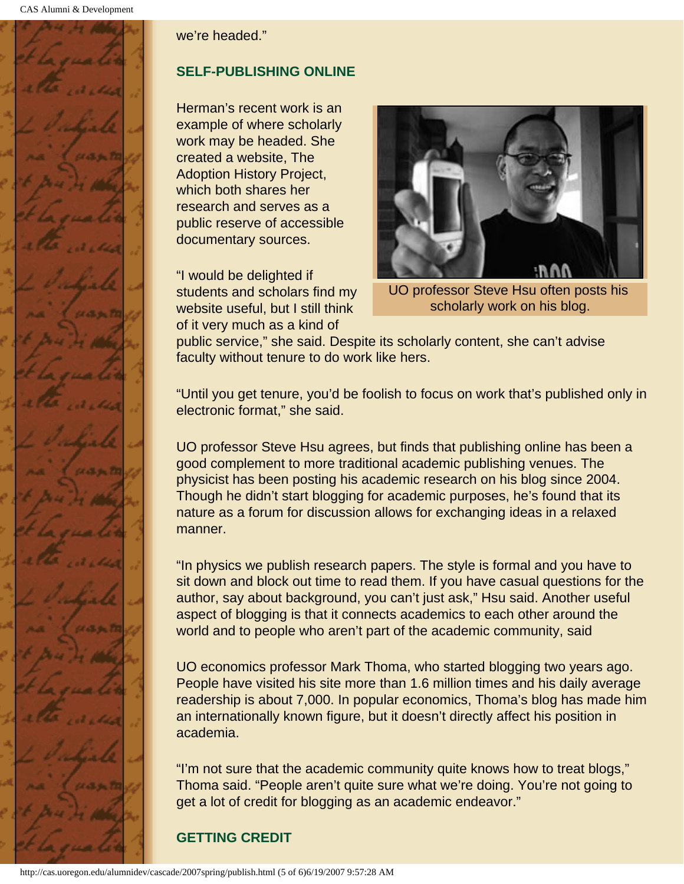

we're headed."

### **SELF-PUBLISHING ONLINE**

Herman's recent work is an example of where scholarly work may be headed. She created a website, The Adoption History Project, which both shares her research and serves as a public reserve of accessible documentary sources.

"I would be delighted if students and scholars find my website useful, but I still think of it very much as a kind of



UO professor Steve Hsu often posts his scholarly work on his blog.

public service," she said. Despite its scholarly content, she can't advise faculty without tenure to do work like hers.

"Until you get tenure, you'd be foolish to focus on work that's published only in electronic format," she said.

UO professor Steve Hsu agrees, but finds that publishing online has been a good complement to more traditional academic publishing venues. The physicist has been posting his academic research on his blog since 2004. Though he didn't start blogging for academic purposes, he's found that its nature as a forum for discussion allows for exchanging ideas in a relaxed manner.

"In physics we publish research papers. The style is formal and you have to sit down and block out time to read them. If you have casual questions for the author, say about background, you can't just ask," Hsu said. Another useful aspect of blogging is that it connects academics to each other around the world and to people who aren't part of the academic community, said

UO economics professor Mark Thoma, who started blogging two years ago. People have visited his site more than 1.6 million times and his daily average readership is about 7,000. In popular economics, Thoma's blog has made him an internationally known figure, but it doesn't directly affect his position in academia.

"I'm not sure that the academic community quite knows how to treat blogs," Thoma said. "People aren't quite sure what we're doing. You're not going to get a lot of credit for blogging as an academic endeavor."

### **GETTING CREDIT**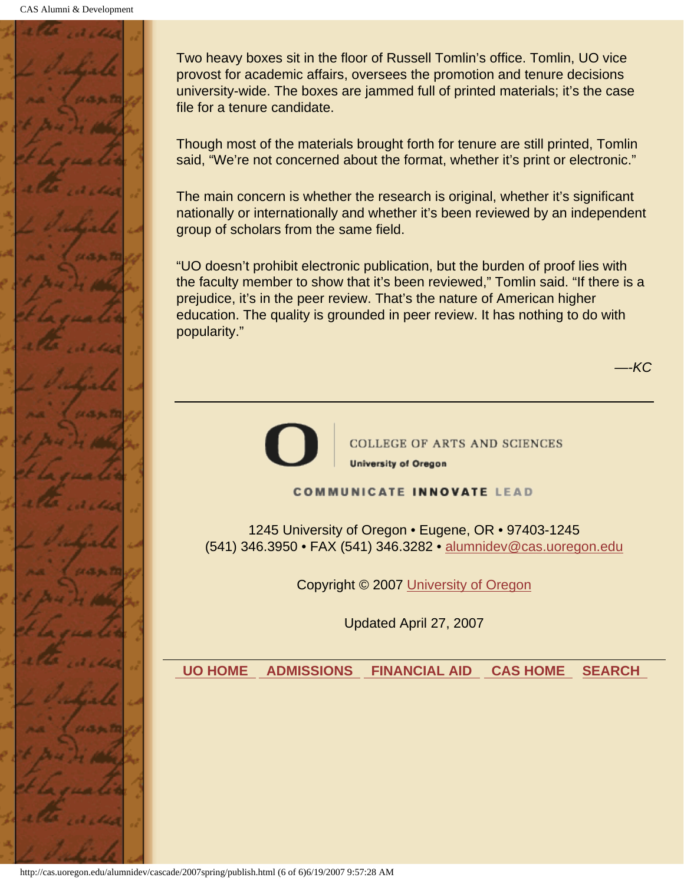

Two heavy boxes sit in the floor of Russell Tomlin's office. Tomlin, UO vice provost for academic affairs, oversees the promotion and tenure decisions university-wide. The boxes are jammed full of printed materials; it's the case file for a tenure candidate.

Though most of the materials brought forth for tenure are still printed, Tomlin said, "We're not concerned about the format, whether it's print or electronic."

The main concern is whether the research is original, whether it's significant nationally or internationally and whether it's been reviewed by an independent group of scholars from the same field.

"UO doesn't prohibit electronic publication, but the burden of proof lies with the faculty member to show that it's been reviewed," Tomlin said. "If there is a prejudice, it's in the peer review. That's the nature of American higher education. The quality is grounded in peer review. It has nothing to do with popularity."

*—-KC*



**COLLEGE OF ARTS AND SCIENCES University of Oregon** 

#### **COMMUNICATE INNOVATE LEAD**

1245 University of Oregon • Eugene, OR • 97403-1245 (541) 346.3950 • FAX (541) 346.3282 • alumnidev@cas.uoregon.edu

Copyright © 2007 University of Oregon

Updated April 27, 2007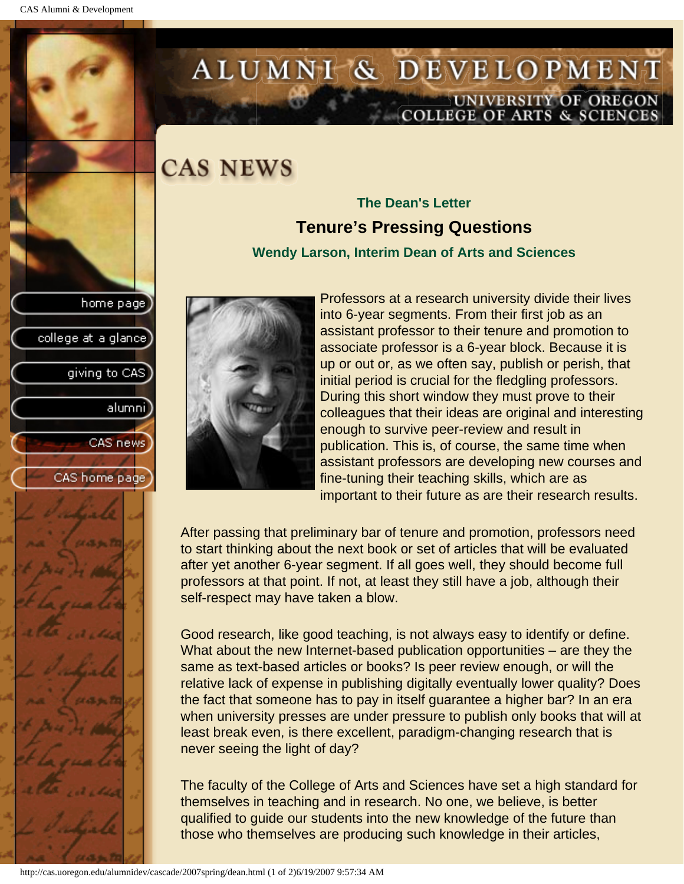college at a glance

giving to CAS

alumni

CAS news

CAS home page

# <span id="page-8-0"></span>ALUMNI & DEVELOPMENT UNIVERSITY OF OREGON<br>COLLEGE OF ARTS & SCIENCES

# **CAS NEWS**

## **The Dean's Letter Tenure's Pressing Questions**

#### **Wendy Larson, Interim Dean of Arts and Sciences**



Professors at a research university divide their lives into 6-year segments. From their first job as an assistant professor to their tenure and promotion to associate professor is a 6-year block. Because it is up or out or, as we often say, publish or perish, that initial period is crucial for the fledgling professors. During this short window they must prove to their colleagues that their ideas are original and interesting enough to survive peer-review and result in publication. This is, of course, the same time when assistant professors are developing new courses and fine-tuning their teaching skills, which are as important to their future as are their research results.

After passing that preliminary bar of tenure and promotion, professors need to start thinking about the next book or set of articles that will be evaluated after yet another 6-year segment. If all goes well, they should become full professors at that point. If not, at least they still have a job, although their self-respect may have taken a blow.

Good research, like good teaching, is not always easy to identify or define. What about the new Internet-based publication opportunities – are they the same as text-based articles or books? Is peer review enough, or will the relative lack of expense in publishing digitally eventually lower quality? Does the fact that someone has to pay in itself guarantee a higher bar? In an era when university presses are under pressure to publish only books that will at least break even, is there excellent, paradigm-changing research that is never seeing the light of day?

The faculty of the College of Arts and Sciences have set a high standard for themselves in teaching and in research. No one, we believe, is better qualified to guide our students into the new knowledge of the future than those who themselves are producing such knowledge in their articles,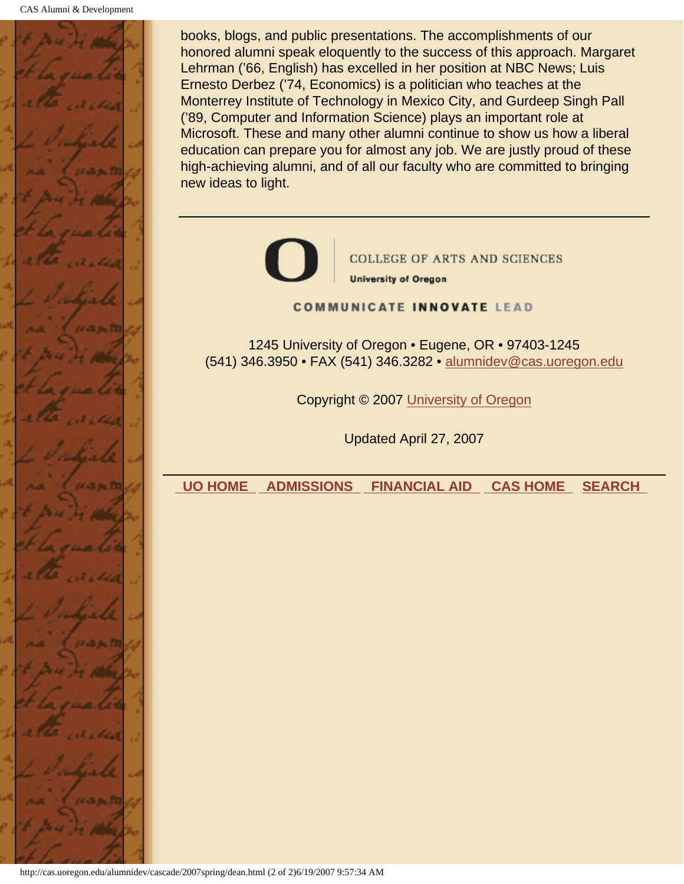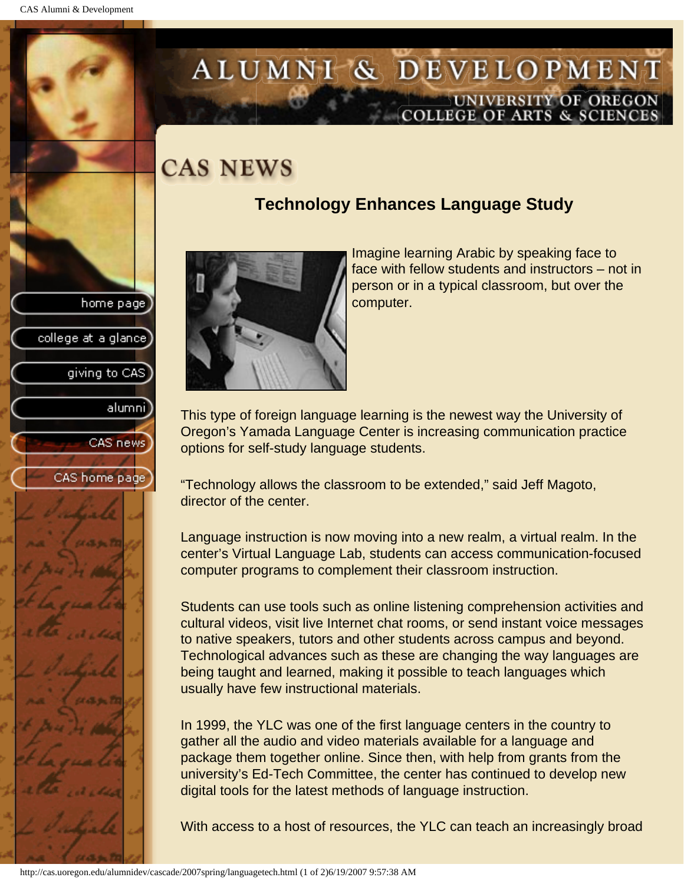# <span id="page-10-0"></span>ALUMNI & DEVELOPMENT UNIVERSITY OF OREGON<br>COLLEGE OF ARTS & SCIENCES

# **CAS NEWS**

## **Technology Enhances Language Study**





Imagine learning Arabic by speaking face to face with fellow students and instructors – not in person or in a typical classroom, but over the computer.

This type of foreign language learning is the newest way the University of Oregon's Yamada Language Center is increasing communication practice options for self-study language students.

"Technology allows the classroom to be extended," said Jeff Magoto, director of the center.

Language instruction is now moving into a new realm, a virtual realm. In the center's Virtual Language Lab, students can access communication-focused computer programs to complement their classroom instruction.

Students can use tools such as online listening comprehension activities and cultural videos, visit live Internet chat rooms, or send instant voice messages to native speakers, tutors and other students across campus and beyond. Technological advances such as these are changing the way languages are being taught and learned, making it possible to teach languages which usually have few instructional materials.

In 1999, the YLC was one of the first language centers in the country to gather all the audio and video materials available for a language and package them together online. Since then, with help from grants from the university's Ed-Tech Committee, the center has continued to develop new digital tools for the latest methods of language instruction.

With access to a host of resources, the YLC can teach an increasingly broad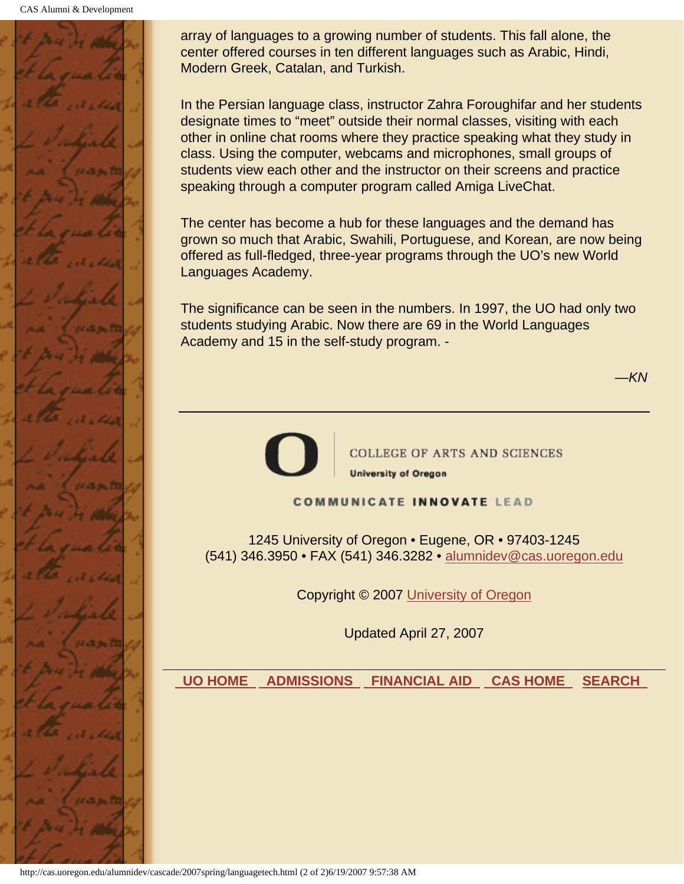CAS Alumni & Development



array of languages to a growing number of students. This fall alone, the center offered courses in ten different languages such as Arabic, Hindi, Modern Greek, Catalan, and Turkish.

In the Persian language class, instructor Zahra Foroughifar and her students designate times to "meet" outside their normal classes, visiting with each other in online chat rooms where they practice speaking what they study in class. Using the computer, webcams and microphones, small groups of students view each other and the instructor on their screens and practice speaking through a computer program called Amiga LiveChat.

The center has become a hub for these languages and the demand has grown so much that Arabic, Swahili, Portuguese, and Korean, are now being offered as full-fledged, three-year programs through the UO's new World Languages Academy.

The significance can be seen in the numbers. In 1997, the UO had only two students studying Arabic. Now there are 69 in the World Languages Academy and 15 in the self-study program. -

*—KN*



**COLLEGE OF ARTS AND SCIENCES University of Oregon** 

#### **COMMUNICATE INNOVATE LEAD**

1245 University of Oregon • Eugene, OR • 97403-1245 (541) 346.3950 • FAX (541) 346.3282 • alumnidev@cas.uoregon.edu

Copyright © 2007 University of Oregon

Updated April 27, 2007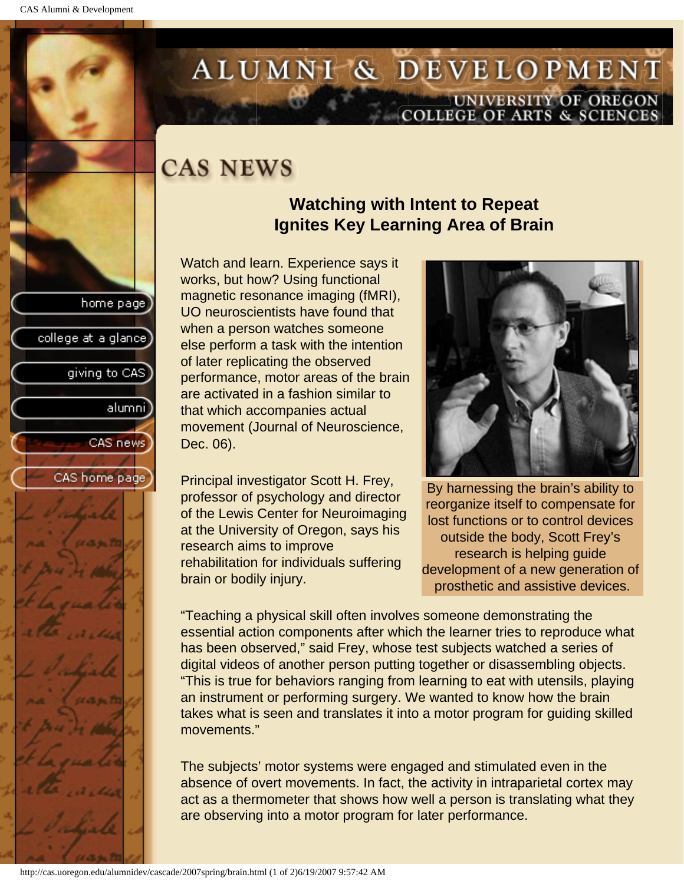college at a glance

giving to CAS

alumnil

CAS news

CAS home page

# <span id="page-12-0"></span>ALUMNI & DEVELOPMENT UNIVERSITY OF OREGON<br>COLLEGE OF ARTS & SCIENCES

# **CAS NEWS**

## **Watching with Intent to Repeat Ignites Key Learning Area of Brain**

Watch and learn. Experience says it works, but how? Using functional magnetic resonance imaging (fMRI), UO neuroscientists have found that when a person watches someone else perform a task with the intention of later replicating the observed performance, motor areas of the brain are activated in a fashion similar to that which accompanies actual movement (Journal of Neuroscience, Dec. 06).

Principal investigator Scott H. Frey, professor of psychology and director of the Lewis Center for Neuroimaging at the University of Oregon, says his research aims to improve rehabilitation for individuals suffering brain or bodily injury.



By harnessing the brain's ability to reorganize itself to compensate for lost functions or to control devices outside the body, Scott Frey's research is helping guide development of a new generation of prosthetic and assistive devices.

"Teaching a physical skill often involves someone demonstrating the essential action components after which the learner tries to reproduce what has been observed," said Frey, whose test subjects watched a series of digital videos of another person putting together or disassembling objects. "This is true for behaviors ranging from learning to eat with utensils, playing an instrument or performing surgery. We wanted to know how the brain takes what is seen and translates it into a motor program for guiding skilled movements."

The subjects' motor systems were engaged and stimulated even in the absence of overt movements. In fact, the activity in intraparietal cortex may act as a thermometer that shows how well a person is translating what they are observing into a motor program for later performance.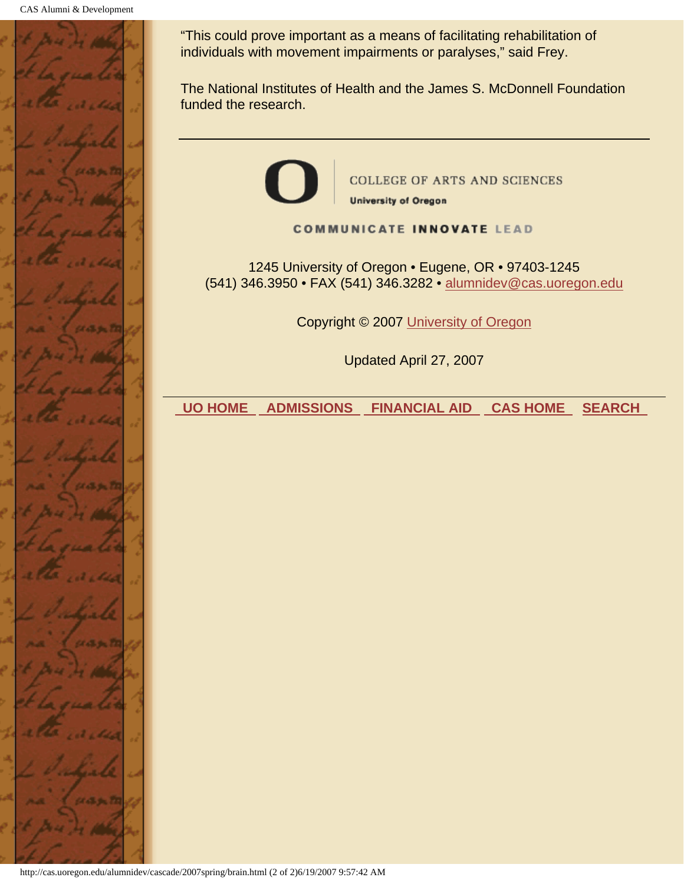

"This could prove important as a means of facilitating rehabilitation of individuals with movement impairments or paralyses," said Frey.

The National Institutes of Health and the James S. McDonnell Foundation funded the research.



**COMMUNICATE INNOVATE LEAD** 

1245 University of Oregon • Eugene, OR • 97403-1245 (541) 346.3950 • FAX (541) 346.3282 • alumnidev@cas.uoregon.edu

Copyright © 2007 University of Oregon

Updated April 27, 2007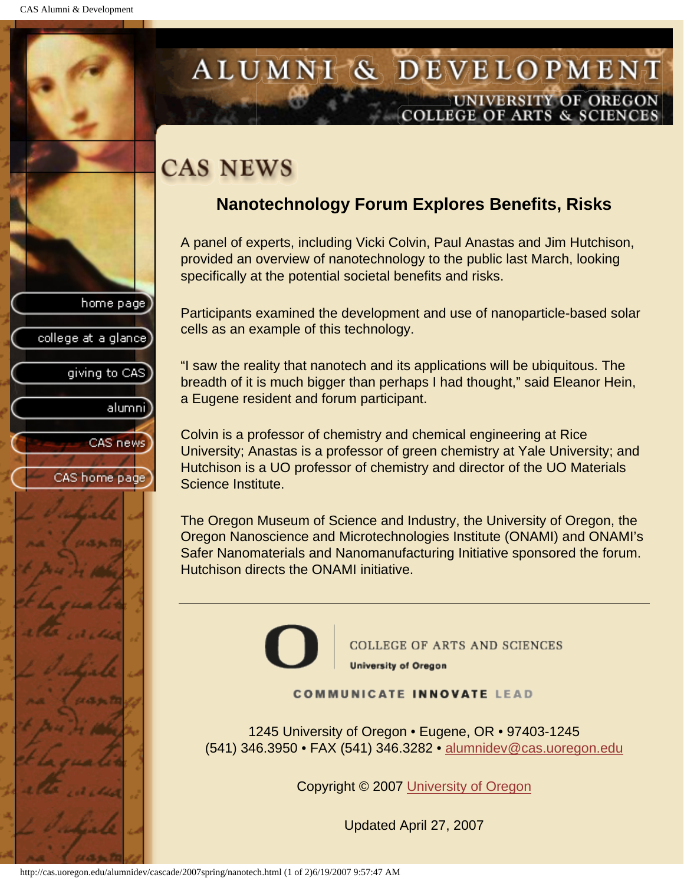college at a glance

giving to CAS

alumnil

CAS news

CAS home page

## <span id="page-14-0"></span>ALUMNI & DEVELOPMENT UNIVERSITY OF OREGON **COLLEGE OF ARTS & SCIENCE**

# **CAS NEWS**

## **Nanotechnology Forum Explores Benefits, Risks**

A panel of experts, including Vicki Colvin, Paul Anastas and Jim Hutchison, provided an overview of nanotechnology to the public last March, looking specifically at the potential societal benefits and risks.

Participants examined the development and use of nanoparticle-based solar cells as an example of this technology.

"I saw the reality that nanotech and its applications will be ubiquitous. The breadth of it is much bigger than perhaps I had thought," said Eleanor Hein, a Eugene resident and forum participant.

Colvin is a professor of chemistry and chemical engineering at Rice University; Anastas is a professor of green chemistry at Yale University; and Hutchison is a UO professor of chemistry and director of the UO Materials Science Institute.

The Oregon Museum of Science and Industry, the University of Oregon, the Oregon Nanoscience and Microtechnologies Institute (ONAMI) and ONAMI's Safer Nanomaterials and Nanomanufacturing Initiative sponsored the forum. Hutchison directs the ONAMI initiative.



**COLLEGE OF ARTS AND SCIENCES University of Oregon** 

#### **COMMUNICATE INNOVATE LEAD**

1245 University of Oregon • Eugene, OR • 97403-1245 (541) 346.3950 • FAX (541) 346.3282 • alumnidev@cas.uoregon.edu

Copyright © 2007 University of Oregon

Updated April 27, 2007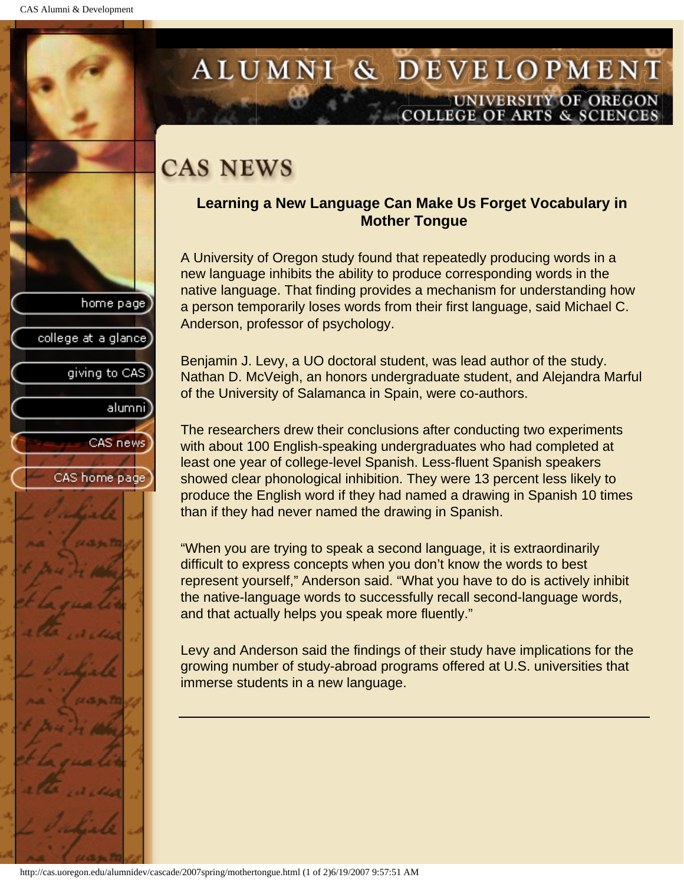college at a glance

giving to CAS

alumni

CAS news

CAS home page

## <span id="page-15-0"></span>ALUMNI & DEVELOPMENT UNIVERSITY OF OREGON OLLEGE OF ARTS & SCIENCE

# **CAS NEWS**

### **Learning a New Language Can Make Us Forget Vocabulary in Mother Tongue**

A University of Oregon study found that repeatedly producing words in a new language inhibits the ability to produce corresponding words in the native language. That finding provides a mechanism for understanding how a person temporarily loses words from their first language, said Michael C. Anderson, professor of psychology.

Benjamin J. Levy, a UO doctoral student, was lead author of the study. Nathan D. McVeigh, an honors undergraduate student, and Alejandra Marful of the University of Salamanca in Spain, were co-authors.

The researchers drew their conclusions after conducting two experiments with about 100 English-speaking undergraduates who had completed at least one year of college-level Spanish. Less-fluent Spanish speakers showed clear phonological inhibition. They were 13 percent less likely to produce the English word if they had named a drawing in Spanish 10 times than if they had never named the drawing in Spanish.

"When you are trying to speak a second language, it is extraordinarily difficult to express concepts when you don't know the words to best represent yourself," Anderson said. "What you have to do is actively inhibit the native-language words to successfully recall second-language words, and that actually helps you speak more fluently."

Levy and Anderson said the findings of their study have implications for the growing number of study-abroad programs offered at U.S. universities that immerse students in a new language.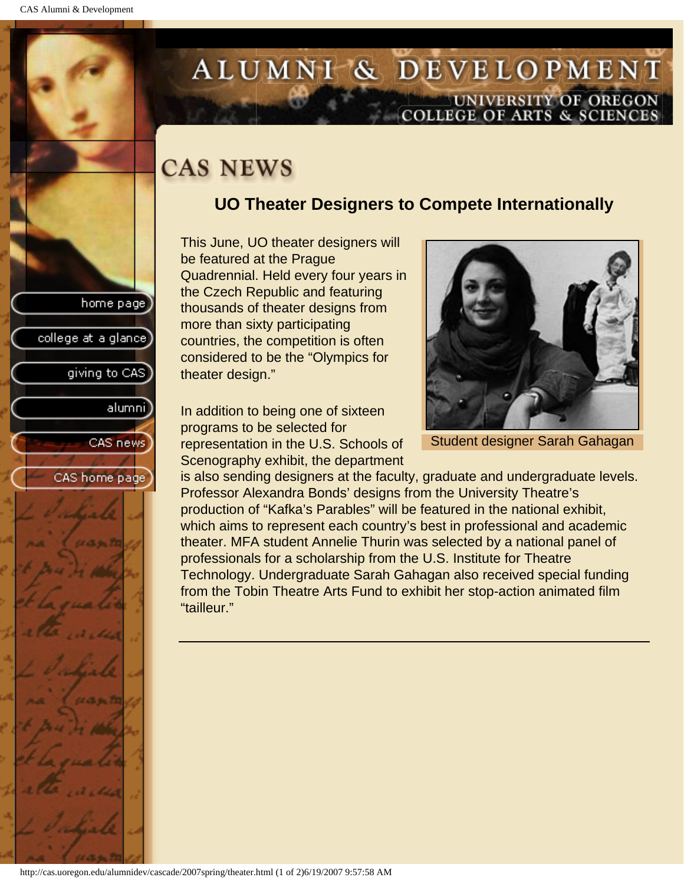college at a glance]

giving to CAS

alumnil

CAS news

CAS home page

# <span id="page-16-0"></span>ALUMNI & DEVELOPMENT UNIVERSITY OF OREGON<br>COLLEGE OF ARTS & SCIENCES

# **CAS NEWS**

## **UO Theater Designers to Compete Internationally**

This June, UO theater designers will be featured at the Prague Quadrennial. Held every four years in the Czech Republic and featuring thousands of theater designs from more than sixty participating countries, the competition is often considered to be the "Olympics for theater design."

In addition to being one of sixteen programs to be selected for representation in the U.S. Schools of Scenography exhibit, the department



Student designer Sarah Gahagan

is also sending designers at the faculty, graduate and undergraduate levels. Professor Alexandra Bonds' designs from the University Theatre's production of "Kafka's Parables" will be featured in the national exhibit, which aims to represent each country's best in professional and academic theater. MFA student Annelie Thurin was selected by a national panel of professionals for a scholarship from the U.S. Institute for Theatre Technology. Undergraduate Sarah Gahagan also received special funding from the Tobin Theatre Arts Fund to exhibit her stop-action animated film "tailleur."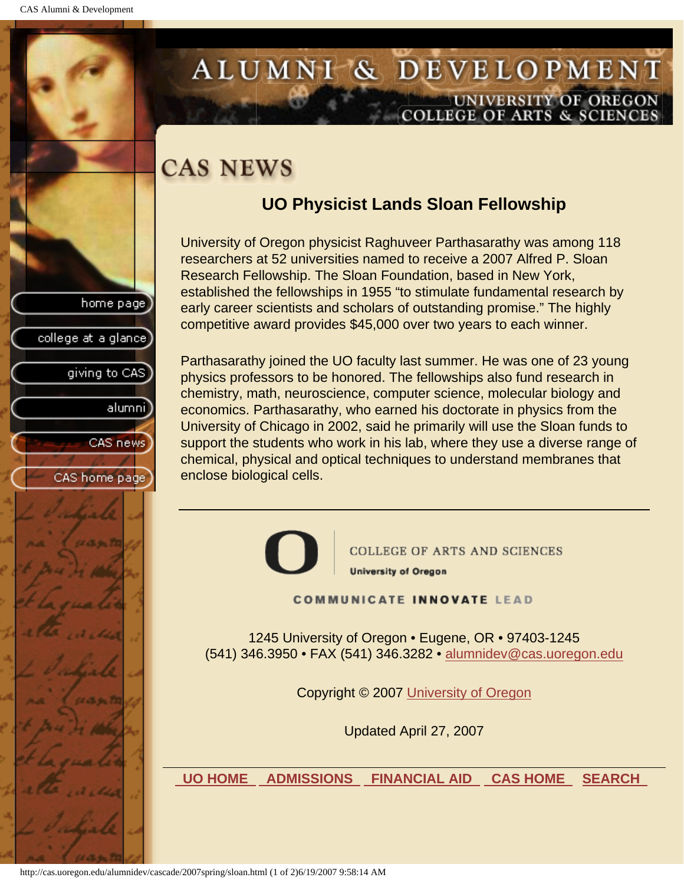college at a glance

giving to CAS

alumnil

CAS news

CAS home page

## <span id="page-17-0"></span>ALUMNI & DEVELOPMENT UNIVERSITY OF OREGON **COLLEGE OF ARTS & SCIENCE**

# **CAS NEWS**

## **UO Physicist Lands Sloan Fellowship**

University of Oregon physicist Raghuveer Parthasarathy was among 118 researchers at 52 universities named to receive a 2007 Alfred P. Sloan Research Fellowship. The Sloan Foundation, based in New York, established the fellowships in 1955 "to stimulate fundamental research by early career scientists and scholars of outstanding promise." The highly competitive award provides \$45,000 over two years to each winner.

Parthasarathy joined the UO faculty last summer. He was one of 23 young physics professors to be honored. The fellowships also fund research in chemistry, math, neuroscience, computer science, molecular biology and economics. Parthasarathy, who earned his doctorate in physics from the University of Chicago in 2002, said he primarily will use the Sloan funds to support the students who work in his lab, where they use a diverse range of chemical, physical and optical techniques to understand membranes that enclose biological cells.



**COLLEGE OF ARTS AND SCIENCES University of Oregon** 

**COMMUNICATE INNOVATE LEAD** 

1245 University of Oregon • Eugene, OR • 97403-1245 (541) 346.3950 • FAX (541) 346.3282 • alumnidev@cas.uoregon.edu

Copyright © 2007 University of Oregon

Updated April 27, 2007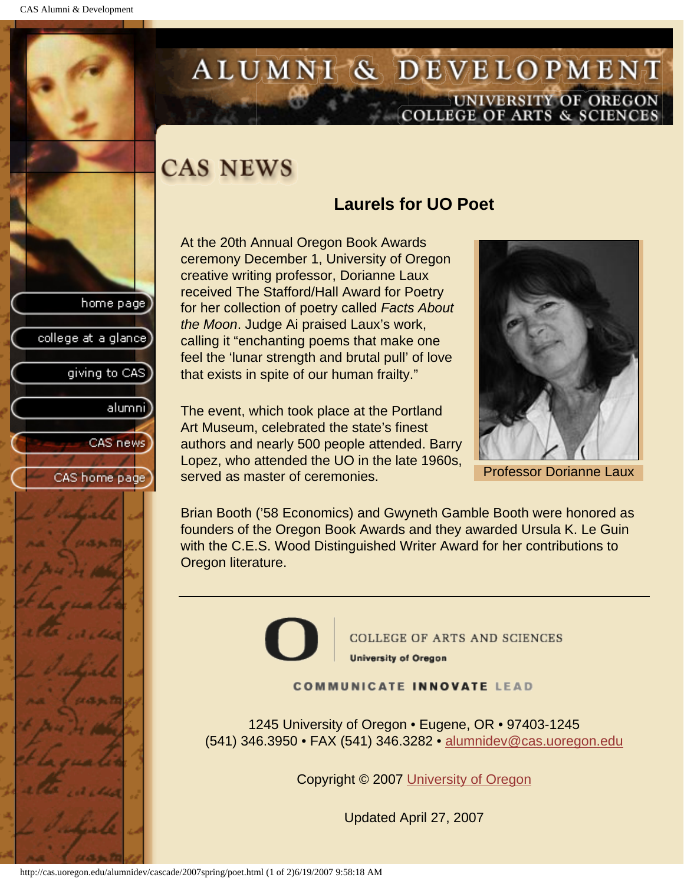giving to CAS

alumnil

CAS news

CAS home page

college at a glance]

# <span id="page-18-0"></span>ALUMNI & DEVELOPMENT UNIVERSITY OF OREGON<br>COLLEGE OF ARTS & SCIENCES

# **CAS NEWS**

## **Laurels for UO Poet**

At the 20th Annual Oregon Book Awards ceremony December 1, University of Oregon creative writing professor, Dorianne Laux received The Stafford/Hall Award for Poetry for her collection of poetry called *Facts About the Moon*. Judge Ai praised Laux's work, calling it "enchanting poems that make one feel the 'lunar strength and brutal pull' of love that exists in spite of our human frailty."

The event, which took place at the Portland Art Museum, celebrated the state's finest authors and nearly 500 people attended. Barry Lopez, who attended the UO in the late 1960s, served as master of ceremonies.



Professor Dorianne Laux

Brian Booth ('58 Economics) and Gwyneth Gamble Booth were honored as founders of the Oregon Book Awards and they awarded Ursula K. Le Guin with the C.E.S. Wood Distinguished Writer Award for her contributions to Oregon literature.



**COLLEGE OF ARTS AND SCIENCES University of Oregon** 

#### **COMMUNICATE INNOVATE LEAD**

1245 University of Oregon • Eugene, OR • 97403-1245 (541) 346.3950 • FAX (541) 346.3282 • alumnidev@cas.uoregon.edu

Copyright © 2007 University of Oregon

Updated April 27, 2007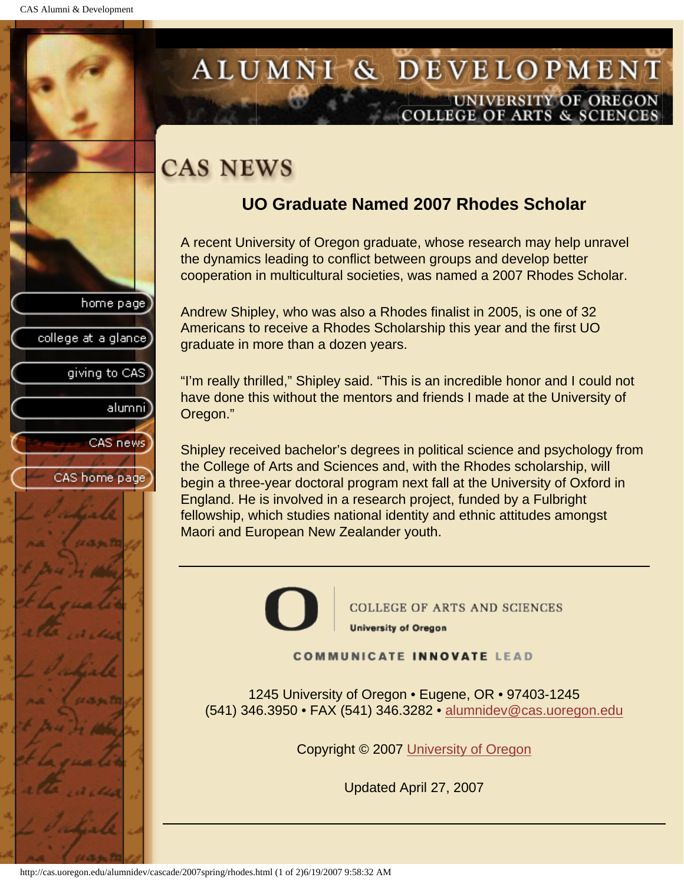giving to CAS

alumnil

CAS news

CAS home page

college at a glance

## <span id="page-19-0"></span>ALUMNI & DEVELOPMENT UNIVERSITY OF OREGON **COLLEGE OF ARTS & SCIENCE**

# **CAS NEWS**

## **UO Graduate Named 2007 Rhodes Scholar**

A recent University of Oregon graduate, whose research may help unravel the dynamics leading to conflict between groups and develop better cooperation in multicultural societies, was named a 2007 Rhodes Scholar.

Andrew Shipley, who was also a Rhodes finalist in 2005, is one of 32 Americans to receive a Rhodes Scholarship this year and the first UO graduate in more than a dozen years.

"I'm really thrilled," Shipley said. "This is an incredible honor and I could not have done this without the mentors and friends I made at the University of Oregon."

Shipley received bachelor's degrees in political science and psychology from the College of Arts and Sciences and, with the Rhodes scholarship, will begin a three-year doctoral program next fall at the University of Oxford in England. He is involved in a research project, funded by a Fulbright fellowship, which studies national identity and ethnic attitudes amongst Maori and European New Zealander youth.



**COMMUNICATE INNOVATE LEAD** 

1245 University of Oregon • Eugene, OR • 97403-1245 (541) 346.3950 • FAX (541) 346.3282 • alumnidev@cas.uoregon.edu

Copyright © 2007 University of Oregon

Updated April 27, 2007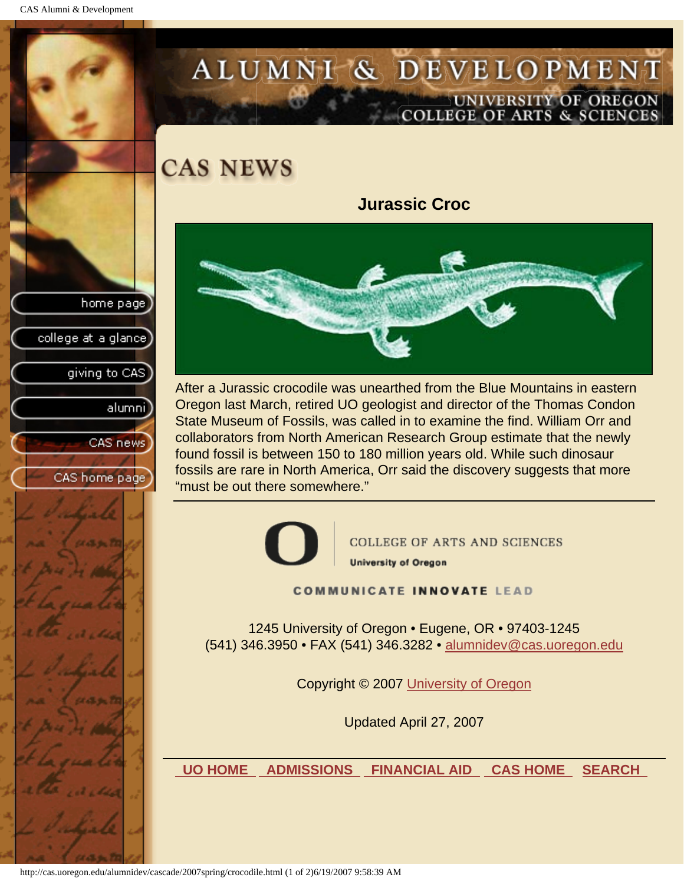giving to CAS

alumni

CAS news

CAS home page

college at a glance

# <span id="page-20-0"></span>ALUMNI & DEVELOPMENT UNIVERSITY OF OREGON<br>COLLEGE OF ARTS & SCIENCES

**CAS NEWS** 

**Jurassic Croc**



After a Jurassic crocodile was unearthed from the Blue Mountains in eastern Oregon last March, retired UO geologist and director of the Thomas Condon State Museum of Fossils, was called in to examine the find. William Orr and collaborators from North American Research Group estimate that the newly found fossil is between 150 to 180 million years old. While such dinosaur fossils are rare in North America, Orr said the discovery suggests that more "must be out there somewhere."



**COLLEGE OF ARTS AND SCIENCES University of Oregon** 

**COMMUNICATE INNOVATE LEAD** 

1245 University of Oregon • Eugene, OR • 97403-1245 (541) 346.3950 • FAX (541) 346.3282 • alumnidev@cas.uoregon.edu

Copyright © 2007 University of Oregon

Updated April 27, 2007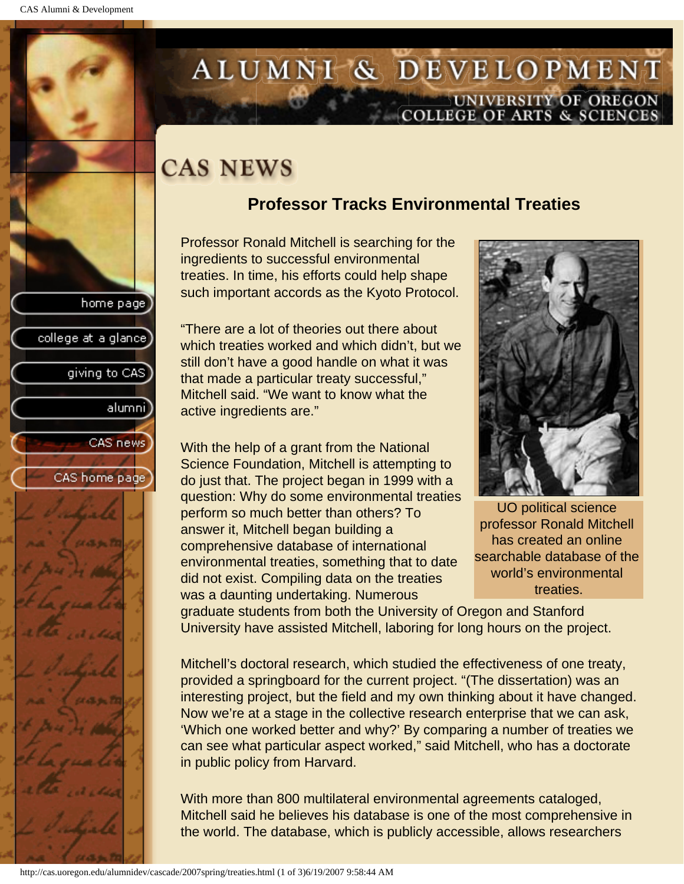college at a glance]

giving to CAS

alumnil

CAS news

CAS home page

# <span id="page-21-0"></span>ALUMNI & DEVELOPMENT UNIVERSITY OF OREGON<br>COLLEGE OF ARTS & SCIENCES

# **CAS NEWS**

## **Professor Tracks Environmental Treaties**

Professor Ronald Mitchell is searching for the ingredients to successful environmental treaties. In time, his efforts could help shape such important accords as the Kyoto Protocol.

"There are a lot of theories out there about which treaties worked and which didn't, but we still don't have a good handle on what it was that made a particular treaty successful," Mitchell said. "We want to know what the active ingredients are."

With the help of a grant from the National Science Foundation, Mitchell is attempting to do just that. The project began in 1999 with a question: Why do some environmental treaties perform so much better than others? To answer it, Mitchell began building a comprehensive database of international environmental treaties, something that to date did not exist. Compiling data on the treaties was a daunting undertaking. Numerous



UO political science professor Ronald Mitchell has created an online searchable database of the world's environmental treaties.

graduate students from both the University of Oregon and Stanford University have assisted Mitchell, laboring for long hours on the project.

Mitchell's doctoral research, which studied the effectiveness of one treaty, provided a springboard for the current project. "(The dissertation) was an interesting project, but the field and my own thinking about it have changed. Now we're at a stage in the collective research enterprise that we can ask, 'Which one worked better and why?' By comparing a number of treaties we can see what particular aspect worked," said Mitchell, who has a doctorate in public policy from Harvard.

With more than 800 multilateral environmental agreements cataloged, Mitchell said he believes his database is one of the most comprehensive in the world. The database, which is publicly accessible, allows researchers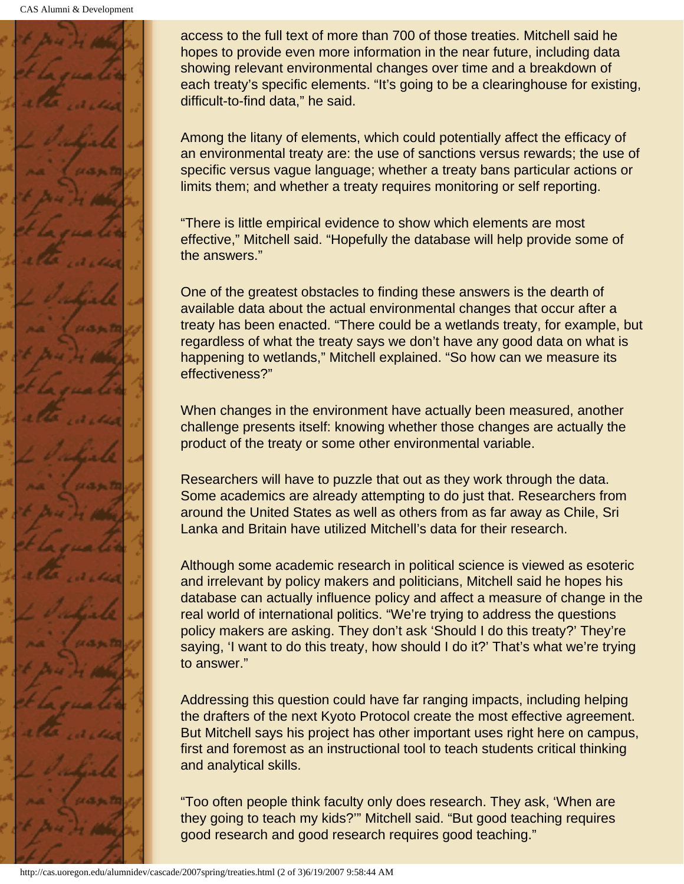

access to the full text of more than 700 of those treaties. Mitchell said he hopes to provide even more information in the near future, including data showing relevant environmental changes over time and a breakdown of each treaty's specific elements. "It's going to be a clearinghouse for existing, difficult-to-find data," he said.

Among the litany of elements, which could potentially affect the efficacy of an environmental treaty are: the use of sanctions versus rewards; the use of specific versus vague language; whether a treaty bans particular actions or limits them; and whether a treaty requires monitoring or self reporting.

"There is little empirical evidence to show which elements are most effective," Mitchell said. "Hopefully the database will help provide some of the answers."

One of the greatest obstacles to finding these answers is the dearth of available data about the actual environmental changes that occur after a treaty has been enacted. "There could be a wetlands treaty, for example, but regardless of what the treaty says we don't have any good data on what is happening to wetlands," Mitchell explained. "So how can we measure its effectiveness?"

When changes in the environment have actually been measured, another challenge presents itself: knowing whether those changes are actually the product of the treaty or some other environmental variable.

Researchers will have to puzzle that out as they work through the data. Some academics are already attempting to do just that. Researchers from around the United States as well as others from as far away as Chile, Sri Lanka and Britain have utilized Mitchell's data for their research.

Although some academic research in political science is viewed as esoteric and irrelevant by policy makers and politicians, Mitchell said he hopes his database can actually influence policy and affect a measure of change in the real world of international politics. "We're trying to address the questions policy makers are asking. They don't ask 'Should I do this treaty?' They're saying, 'I want to do this treaty, how should I do it?' That's what we're trying to answer."

Addressing this question could have far ranging impacts, including helping the drafters of the next Kyoto Protocol create the most effective agreement. But Mitchell says his project has other important uses right here on campus, first and foremost as an instructional tool to teach students critical thinking and analytical skills.

"Too often people think faculty only does research. They ask, 'When are they going to teach my kids?'" Mitchell said. "But good teaching requires good research and good research requires good teaching."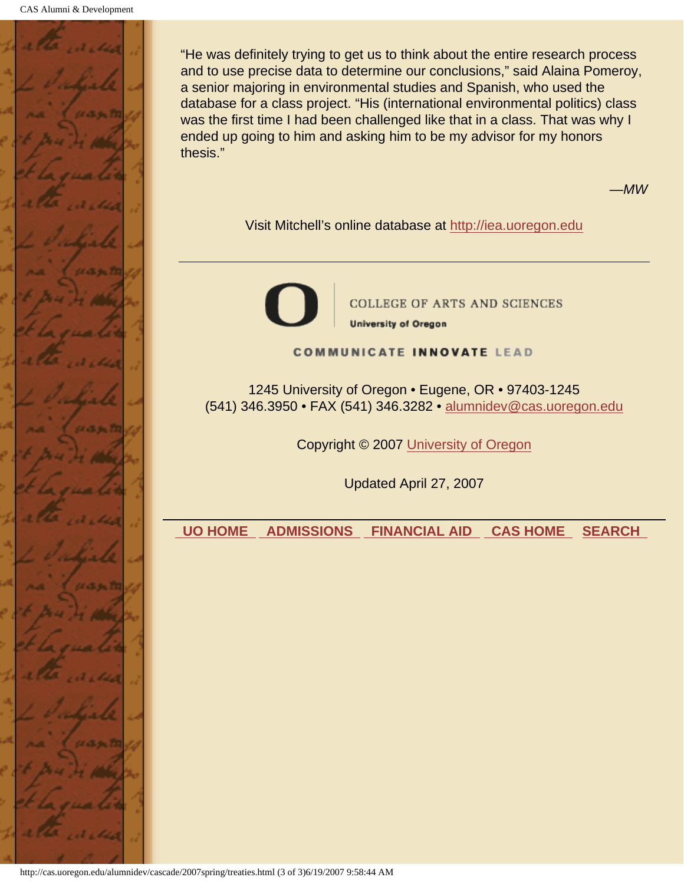

"He was definitely trying to get us to think about the entire research process and to use precise data to determine our conclusions," said Alaina Pomeroy, a senior majoring in environmental studies and Spanish, who used the database for a class project. "His (international environmental politics) class was the first time I had been challenged like that in a class. That was why I ended up going to him and asking him to be my advisor for my honors thesis."

*—MW*

Visit Mitchell's online database at http://iea.uoregon.edu



**COLLEGE OF ARTS AND SCIENCES University of Oregon** 

**COMMUNICATE INNOVATE LEAD** 

1245 University of Oregon • Eugene, OR • 97403-1245 (541) 346.3950 • FAX (541) 346.3282 • alumnidev@cas.uoregon.edu

Copyright © 2007 University of Oregon

Updated April 27, 2007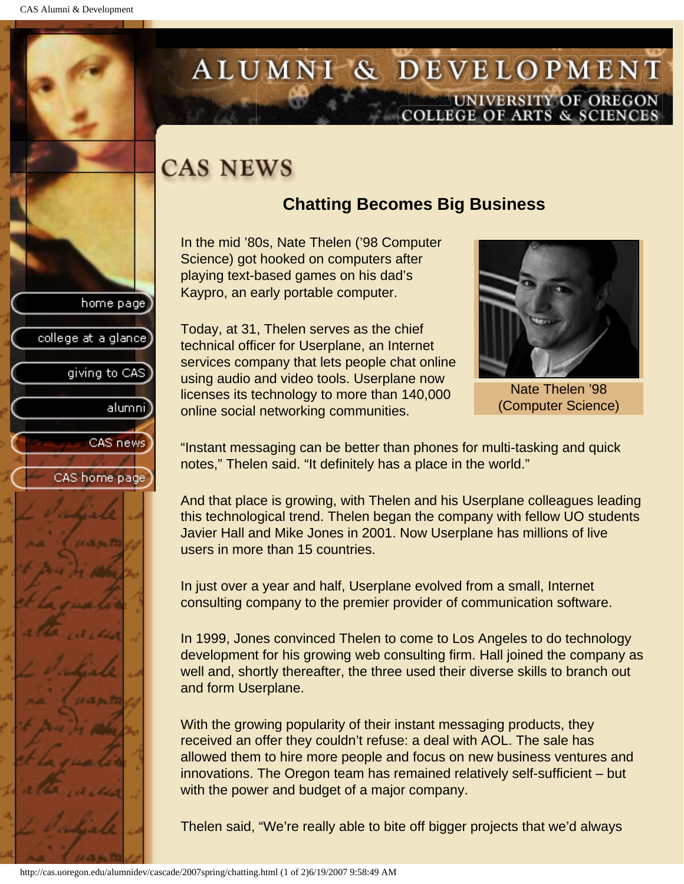college at a glance

giving to CAS

alumnil

CAS news

CAS home page

# <span id="page-24-0"></span>ALUMNI & DEVELOPMENT UNIVERSITY OF OREGON<br>COLLEGE OF ARTS & SCIENCES

# **CAS NEWS**

## **Chatting Becomes Big Business**

In the mid '80s, Nate Thelen ('98 Computer Science) got hooked on computers after playing text-based games on his dad's Kaypro, an early portable computer.

Today, at 31, Thelen serves as the chief technical officer for Userplane, an Internet services company that lets people chat online using audio and video tools. Userplane now licenses its technology to more than 140,000 online social networking communities.



Nate Thelen '98 (Computer Science)

"Instant messaging can be better than phones for multi-tasking and quick notes," Thelen said. "It definitely has a place in the world."

And that place is growing, with Thelen and his Userplane colleagues leading this technological trend. Thelen began the company with fellow UO students Javier Hall and Mike Jones in 2001. Now Userplane has millions of live users in more than 15 countries.

In just over a year and half, Userplane evolved from a small, Internet consulting company to the premier provider of communication software.

In 1999, Jones convinced Thelen to come to Los Angeles to do technology development for his growing web consulting firm. Hall joined the company as well and, shortly thereafter, the three used their diverse skills to branch out and form Userplane.

With the growing popularity of their instant messaging products, they received an offer they couldn't refuse: a deal with AOL. The sale has allowed them to hire more people and focus on new business ventures and innovations. The Oregon team has remained relatively self-sufficient – but with the power and budget of a major company.

Thelen said, "We're really able to bite off bigger projects that we'd always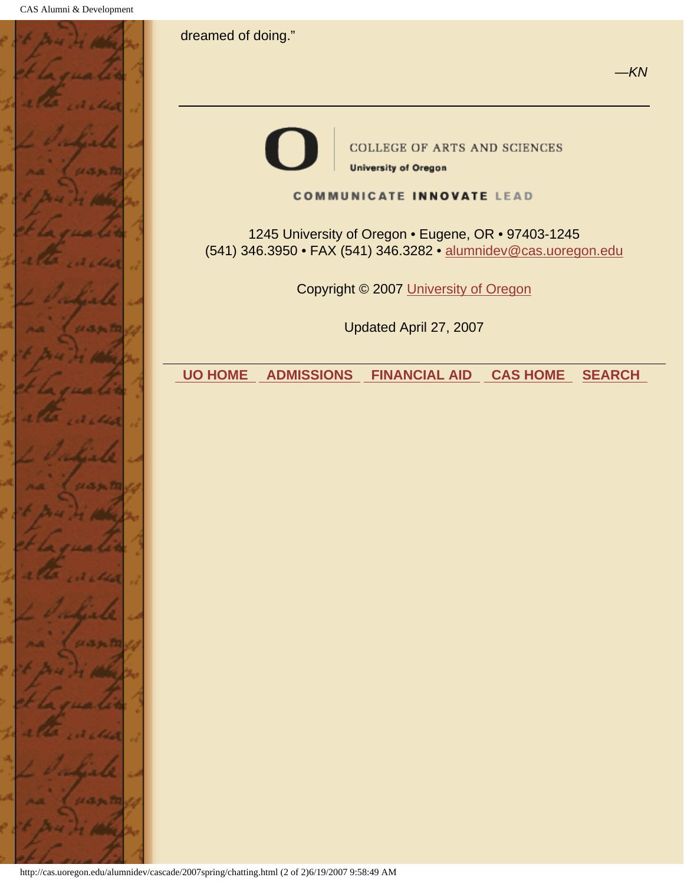



**COLLEGE OF ARTS AND SCIENCES University of Oregon** 

#### **COMMUNICATE INNOVATE LEAD**

1245 University of Oregon • Eugene, OR • 97403-1245 (541) 346.3950 • FAX (541) 346.3282 • alumnidev@cas.uoregon.edu

Copyright © 2007 University of Oregon

Updated April 27, 2007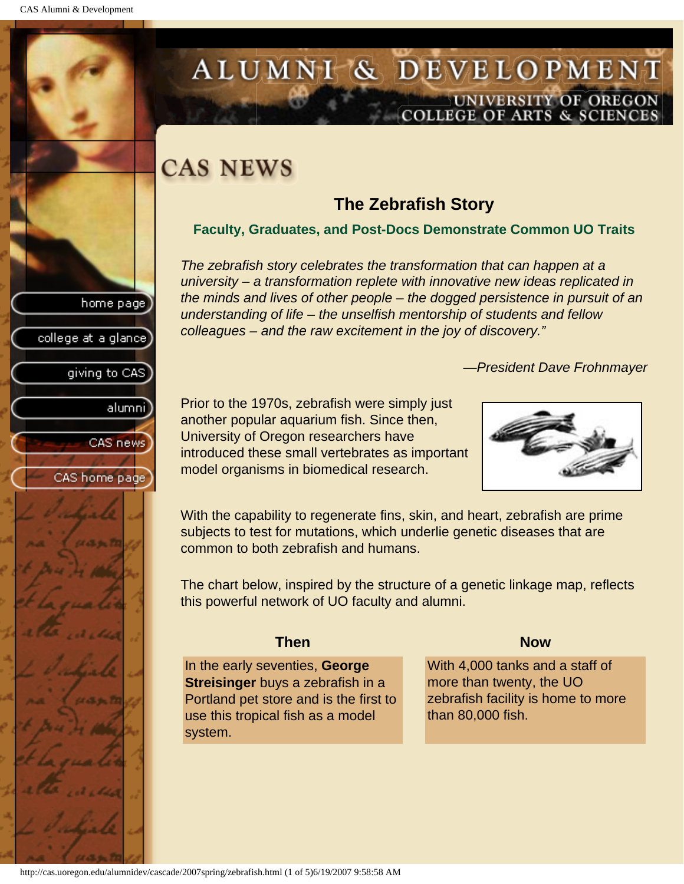college at a glance

giving to CAS

alumnil

CAS news

CAS home page

# <span id="page-26-0"></span>ALUMNI & DEVELOPMENT UNIVERSITY OF OREGON<br>COLLEGE OF ARTS & SCIENCES

# **CAS NEWS**

## **The Zebrafish Story**

#### **Faculty, Graduates, and Post-Docs Demonstrate Common UO Traits**

*The zebrafish story celebrates the transformation that can happen at a university – a transformation replete with innovative new ideas replicated in the minds and lives of other people – the dogged persistence in pursuit of an understanding of life – the unselfish mentorship of students and fellow colleagues – and the raw excitement in the joy of discovery."*

*—President Dave Frohnmayer*

Prior to the 1970s, zebrafish were simply just another popular aquarium fish. Since then, University of Oregon researchers have introduced these small vertebrates as important model organisms in biomedical research.



With the capability to regenerate fins, skin, and heart, zebrafish are prime subjects to test for mutations, which underlie genetic diseases that are common to both zebrafish and humans.

The chart below, inspired by the structure of a genetic linkage map, reflects this powerful network of UO faculty and alumni.

#### **Then Now**

In the early seventies, **George Streisinger** buys a zebrafish in a Portland pet store and is the first to use this tropical fish as a model system.

With 4,000 tanks and a staff of more than twenty, the UO zebrafish facility is home to more than 80,000 fish.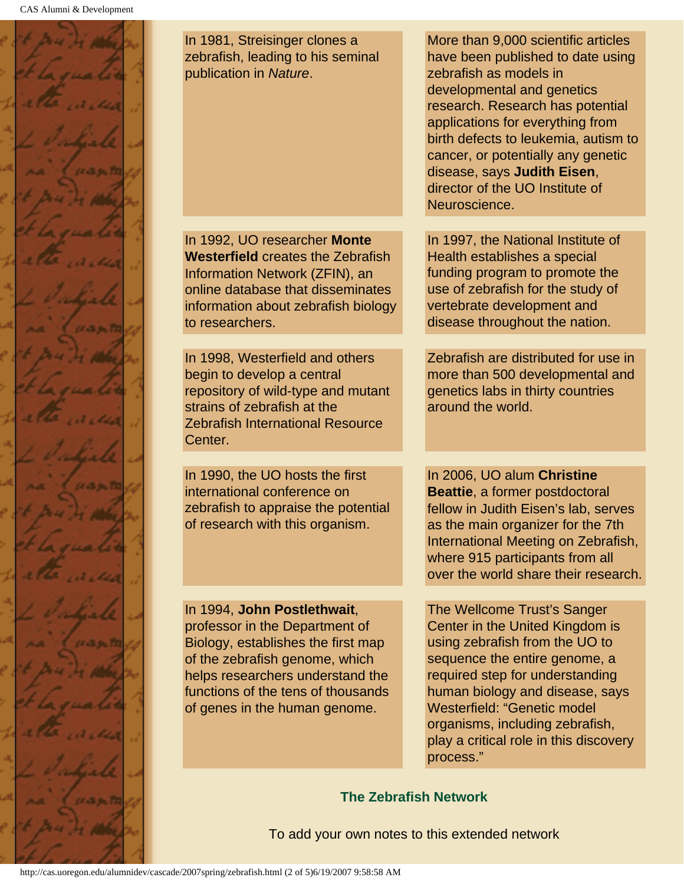

In 1981, Streisinger clones a zebrafish, leading to his seminal publication in *Nature*.

In 1992, UO researcher **Monte Westerfield** creates the Zebrafish Information Network (ZFIN), an online database that disseminates information about zebrafish biology to researchers.

In 1998, Westerfield and others begin to develop a central repository of wild-type and mutant strains of zebrafish at the Zebrafish International Resource Center.

In 1990, the UO hosts the first international conference on zebrafish to appraise the potential of research with this organism.

In 1994, **John Postlethwait**,

professor in the Department of Biology, establishes the first map of the zebrafish genome, which helps researchers understand the functions of the tens of thousands of genes in the human genome.

More than 9,000 scientific articles have been published to date using zebrafish as models in developmental and genetics research. Research has potential applications for everything from birth defects to leukemia, autism to cancer, or potentially any genetic disease, says **Judith Eisen**, director of the UO Institute of Neuroscience.

In 1997, the National Institute of Health establishes a special funding program to promote the use of zebrafish for the study of vertebrate development and disease throughout the nation.

Zebrafish are distributed for use in more than 500 developmental and genetics labs in thirty countries around the world.

In 2006, UO alum **Christine Beattie**, a former postdoctoral fellow in Judith Eisen's lab, serves as the main organizer for the 7th International Meeting on Zebrafish, where 915 participants from all over the world share their research.

The Wellcome Trust's Sanger Center in the United Kingdom is using zebrafish from the UO to sequence the entire genome, a required step for understanding human biology and disease, says Westerfield: "Genetic model organisms, including zebrafish, play a critical role in this discovery process."

#### **The Zebrafish Network**

To add your own notes to this extended network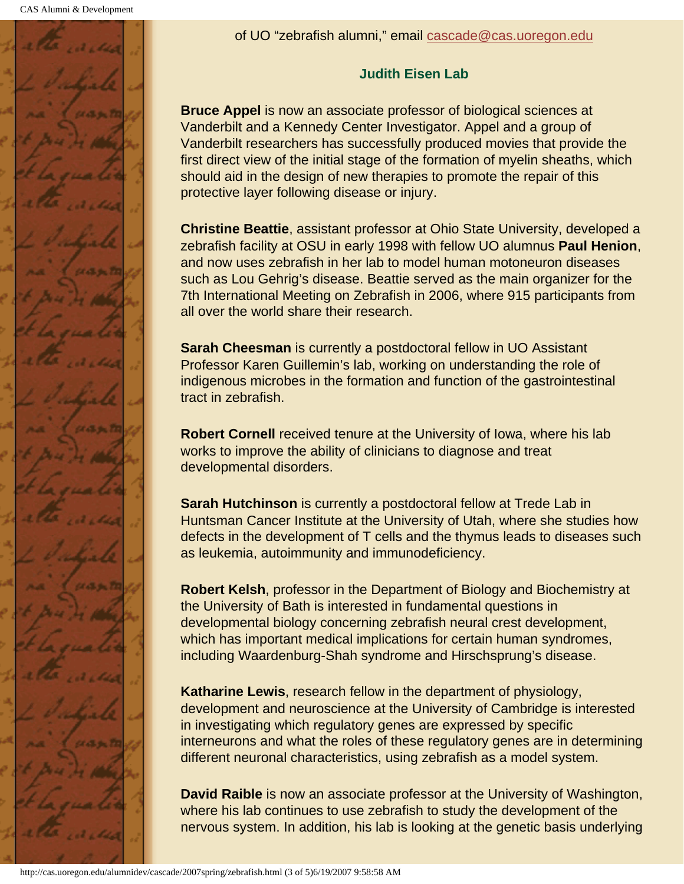

### **Judith Eisen Lab**

**Bruce Appel** is now an associate professor of biological sciences at Vanderbilt and a Kennedy Center Investigator. Appel and a group of Vanderbilt researchers has successfully produced movies that provide the first direct view of the initial stage of the formation of myelin sheaths, which should aid in the design of new therapies to promote the repair of this protective layer following disease or injury.

**Christine Beattie**, assistant professor at Ohio State University, developed a zebrafish facility at OSU in early 1998 with fellow UO alumnus **Paul Henion**, and now uses zebrafish in her lab to model human motoneuron diseases such as Lou Gehrig's disease. Beattie served as the main organizer for the 7th International Meeting on Zebrafish in 2006, where 915 participants from all over the world share their research.

**Sarah Cheesman** is currently a postdoctoral fellow in UO Assistant Professor Karen Guillemin's lab, working on understanding the role of indigenous microbes in the formation and function of the gastrointestinal tract in zebrafish.

**Robert Cornell** received tenure at the University of Iowa, where his lab works to improve the ability of clinicians to diagnose and treat developmental disorders.

**Sarah Hutchinson** is currently a postdoctoral fellow at Trede Lab in Huntsman Cancer Institute at the University of Utah, where she studies how defects in the development of T cells and the thymus leads to diseases such as leukemia, autoimmunity and immunodeficiency.

**Robert Kelsh**, professor in the Department of Biology and Biochemistry at the University of Bath is interested in fundamental questions in developmental biology concerning zebrafish neural crest development, which has important medical implications for certain human syndromes, including Waardenburg-Shah syndrome and Hirschsprung's disease.

**Katharine Lewis**, research fellow in the department of physiology, development and neuroscience at the University of Cambridge is interested in investigating which regulatory genes are expressed by specific interneurons and what the roles of these regulatory genes are in determining different neuronal characteristics, using zebrafish as a model system.

**David Raible** is now an associate professor at the University of Washington, where his lab continues to use zebrafish to study the development of the nervous system. In addition, his lab is looking at the genetic basis underlying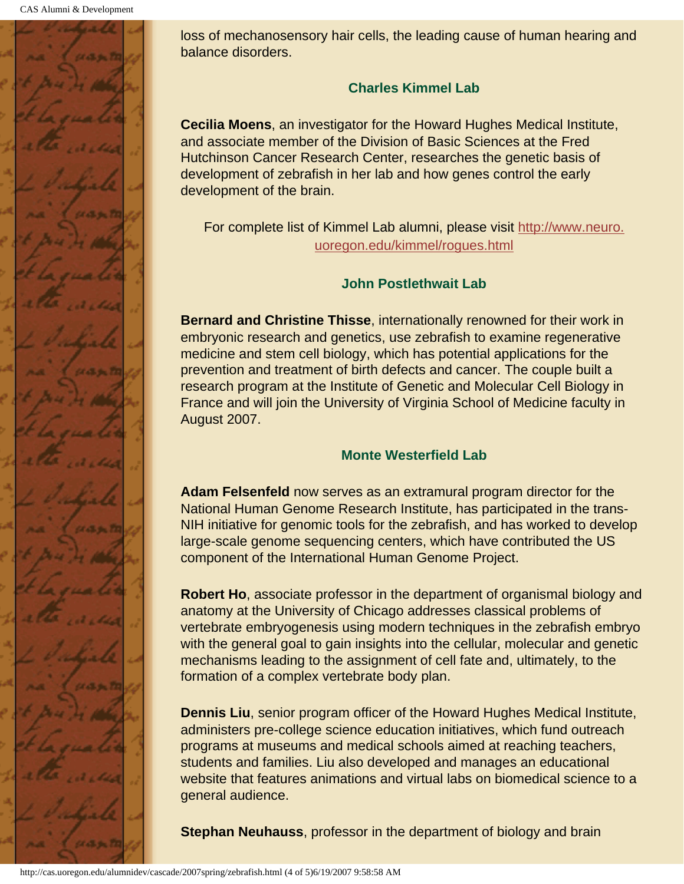

loss of mechanosensory hair cells, the leading cause of human hearing and balance disorders.

#### **Charles Kimmel Lab**

**Cecilia Moens**, an investigator for the Howard Hughes Medical Institute, and associate member of the Division of Basic Sciences at the Fred Hutchinson Cancer Research Center, researches the genetic basis of development of zebrafish in her lab and how genes control the early development of the brain.

For complete list of Kimmel Lab alumni, please visit http://www.neuro. uoregon.edu/kimmel/rogues.html

### **John Postlethwait Lab**

**Bernard and Christine Thisse**, internationally renowned for their work in embryonic research and genetics, use zebrafish to examine regenerative medicine and stem cell biology, which has potential applications for the prevention and treatment of birth defects and cancer. The couple built a research program at the Institute of Genetic and Molecular Cell Biology in France and will join the University of Virginia School of Medicine faculty in August 2007.

### **Monte Westerfield Lab**

**Adam Felsenfeld** now serves as an extramural program director for the National Human Genome Research Institute, has participated in the trans-NIH initiative for genomic tools for the zebrafish, and has worked to develop large-scale genome sequencing centers, which have contributed the US component of the International Human Genome Project.

**Robert Ho**, associate professor in the department of organismal biology and anatomy at the University of Chicago addresses classical problems of vertebrate embryogenesis using modern techniques in the zebrafish embryo with the general goal to gain insights into the cellular, molecular and genetic mechanisms leading to the assignment of cell fate and, ultimately, to the formation of a complex vertebrate body plan.

**Dennis Liu**, senior program officer of the Howard Hughes Medical Institute, administers pre-college science education initiatives, which fund outreach programs at museums and medical schools aimed at reaching teachers, students and families. Liu also developed and manages an educational website that features animations and virtual labs on biomedical science to a general audience.

**Stephan Neuhauss**, professor in the department of biology and brain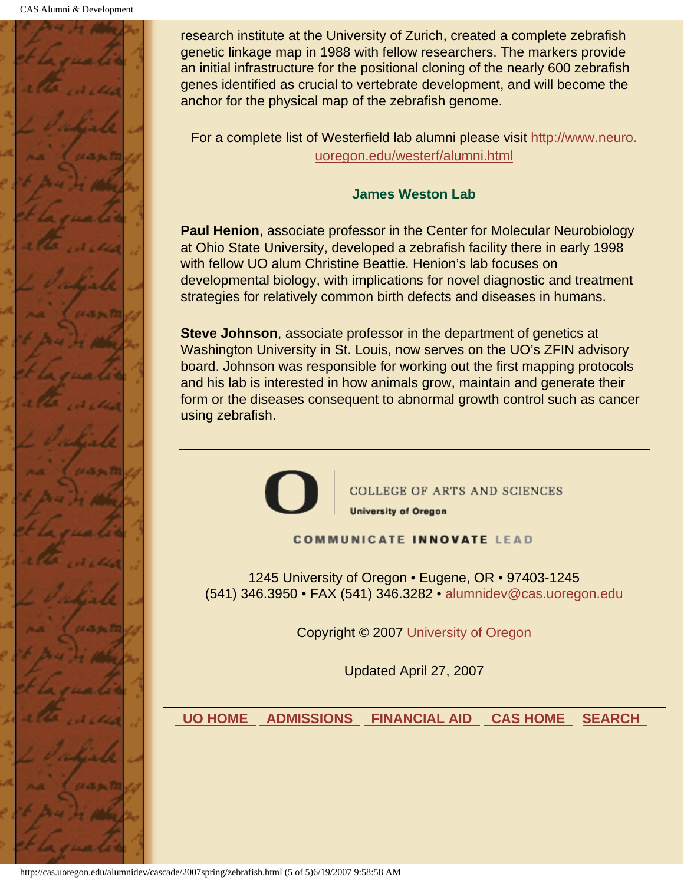

research institute at the University of Zurich, created a complete zebrafish genetic linkage map in 1988 with fellow researchers. The markers provide an initial infrastructure for the positional cloning of the nearly 600 zebrafish genes identified as crucial to vertebrate development, and will become the anchor for the physical map of the zebrafish genome.

For a complete list of Westerfield lab alumni please visit http://www.neuro. uoregon.edu/westerf/alumni.html

#### **James Weston Lab**

**Paul Henion**, associate professor in the Center for Molecular Neurobiology at Ohio State University, developed a zebrafish facility there in early 1998 with fellow UO alum Christine Beattie. Henion's lab focuses on developmental biology, with implications for novel diagnostic and treatment strategies for relatively common birth defects and diseases in humans.

**Steve Johnson**, associate professor in the department of genetics at Washington University in St. Louis, now serves on the UO's ZFIN advisory board. Johnson was responsible for working out the first mapping protocols and his lab is interested in how animals grow, maintain and generate their form or the diseases consequent to abnormal growth control such as cancer using zebrafish.



**COLLEGE OF ARTS AND SCIENCES** 

**University of Oregon** 

#### **COMMUNICATE INNOVATE LEAD**

1245 University of Oregon • Eugene, OR • 97403-1245 (541) 346.3950 • FAX (541) 346.3282 • alumnidev@cas.uoregon.edu

Copyright © 2007 University of Oregon

Updated April 27, 2007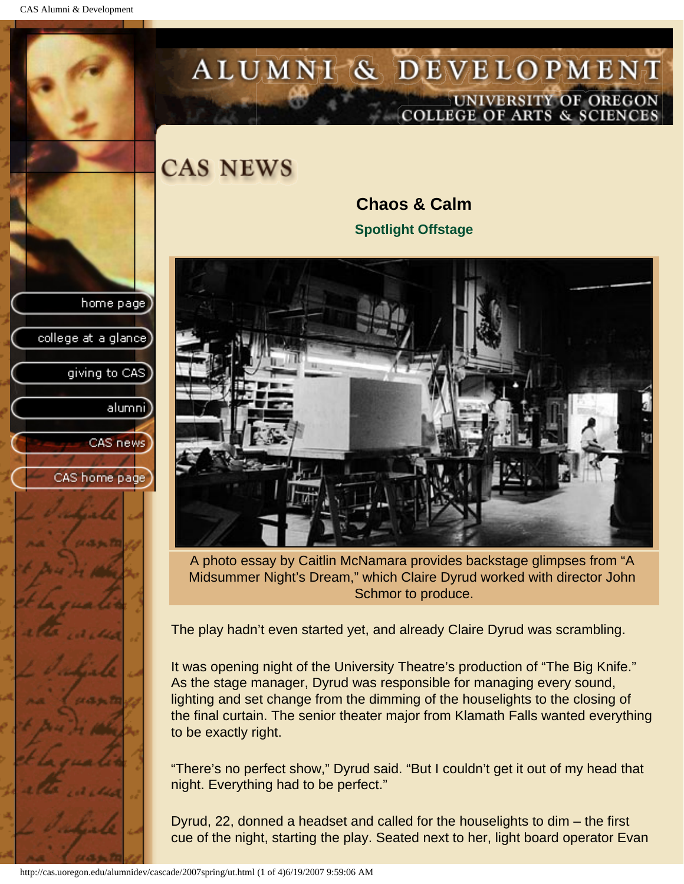<span id="page-31-0"></span>CAS Alumni & Development

home page

college at a glance]

giving to CAS

alumni]

CAS news

CAS home page

# ALUMNI & DEVELOPMENT UNIVERSITY OF OREGON<br>COLLEGE OF ARTS & SCIENCES

**CAS NEWS** 

**Chaos & Calm Spotlight Offstage**



A photo essay by Caitlin McNamara provides backstage glimpses from "A Midsummer Night's Dream," which Claire Dyrud worked with director John Schmor to produce.

The play hadn't even started yet, and already Claire Dyrud was scrambling.

It was opening night of the University Theatre's production of "The Big Knife." As the stage manager, Dyrud was responsible for managing every sound, lighting and set change from the dimming of the houselights to the closing of the final curtain. The senior theater major from Klamath Falls wanted everything to be exactly right.

"There's no perfect show," Dyrud said. "But I couldn't get it out of my head that night. Everything had to be perfect."

Dyrud, 22, donned a headset and called for the houselights to dim – the first cue of the night, starting the play. Seated next to her, light board operator Evan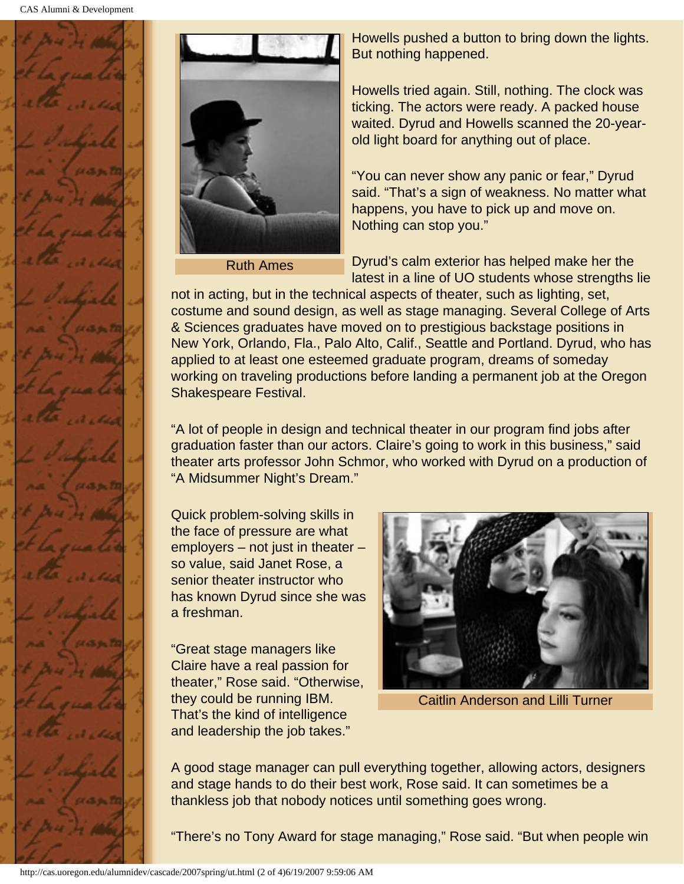



Ruth Ames

Howells pushed a button to bring down the lights. But nothing happened.

Howells tried again. Still, nothing. The clock was ticking. The actors were ready. A packed house waited. Dyrud and Howells scanned the 20-yearold light board for anything out of place.

"You can never show any panic or fear," Dyrud said. "That's a sign of weakness. No matter what happens, you have to pick up and move on. Nothing can stop you."

Dyrud's calm exterior has helped make her the latest in a line of UO students whose strengths lie

not in acting, but in the technical aspects of theater, such as lighting, set, costume and sound design, as well as stage managing. Several College of Arts & Sciences graduates have moved on to prestigious backstage positions in New York, Orlando, Fla., Palo Alto, Calif., Seattle and Portland. Dyrud, who has applied to at least one esteemed graduate program, dreams of someday working on traveling productions before landing a permanent job at the Oregon Shakespeare Festival.

"A lot of people in design and technical theater in our program find jobs after graduation faster than our actors. Claire's going to work in this business," said theater arts professor John Schmor, who worked with Dyrud on a production of "A Midsummer Night's Dream."

Quick problem-solving skills in the face of pressure are what employers – not just in theater – so value, said Janet Rose, a senior theater instructor who has known Dyrud since she was a freshman.

"Great stage managers like Claire have a real passion for theater," Rose said. "Otherwise, they could be running IBM. That's the kind of intelligence and leadership the job takes."



Caitlin Anderson and Lilli Turner

A good stage manager can pull everything together, allowing actors, designers and stage hands to do their best work, Rose said. It can sometimes be a thankless job that nobody notices until something goes wrong.

"There's no Tony Award for stage managing," Rose said. "But when people win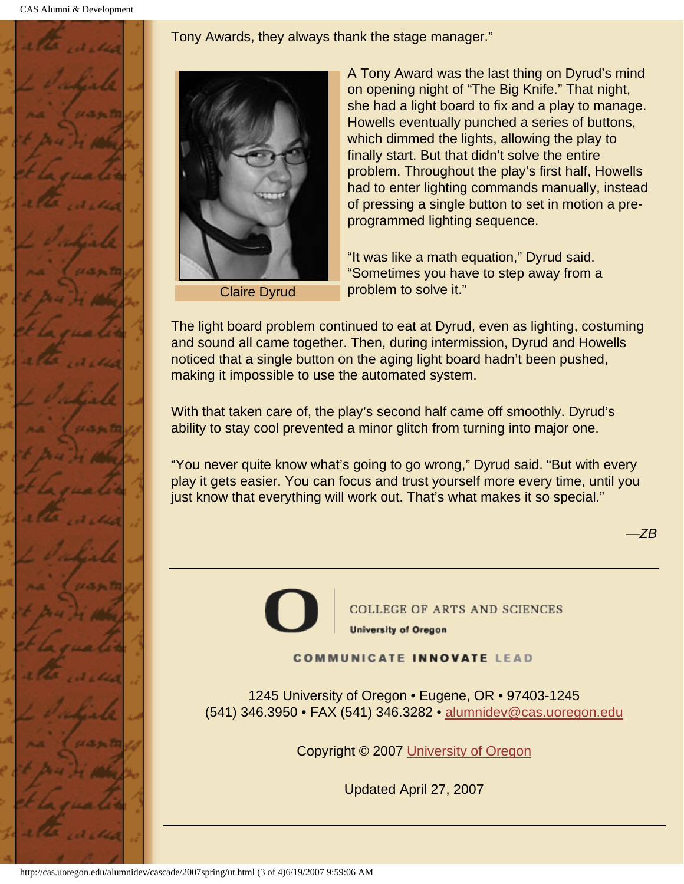Tony Awards, they always thank the stage manager."





Claire Dyrud

A Tony Award was the last thing on Dyrud's mind on opening night of "The Big Knife." That night, she had a light board to fix and a play to manage. Howells eventually punched a series of buttons, which dimmed the lights, allowing the play to finally start. But that didn't solve the entire problem. Throughout the play's first half, Howells had to enter lighting commands manually, instead of pressing a single button to set in motion a preprogrammed lighting sequence.

"It was like a math equation," Dyrud said. "Sometimes you have to step away from a problem to solve it."

The light board problem continued to eat at Dyrud, even as lighting, costuming and sound all came together. Then, during intermission, Dyrud and Howells noticed that a single button on the aging light board hadn't been pushed, making it impossible to use the automated system.

With that taken care of, the play's second half came off smoothly. Dyrud's ability to stay cool prevented a minor glitch from turning into major one.

"You never quite know what's going to go wrong," Dyrud said. "But with every play it gets easier. You can focus and trust yourself more every time, until you just know that everything will work out. That's what makes it so special."

*—ZB*



**COMMUNICATE INNOVATE LEAD** 

1245 University of Oregon • Eugene, OR • 97403-1245 (541) 346.3950 • FAX (541) 346.3282 • alumnidev@cas.uoregon.edu

Copyright © 2007 University of Oregon

Updated April 27, 2007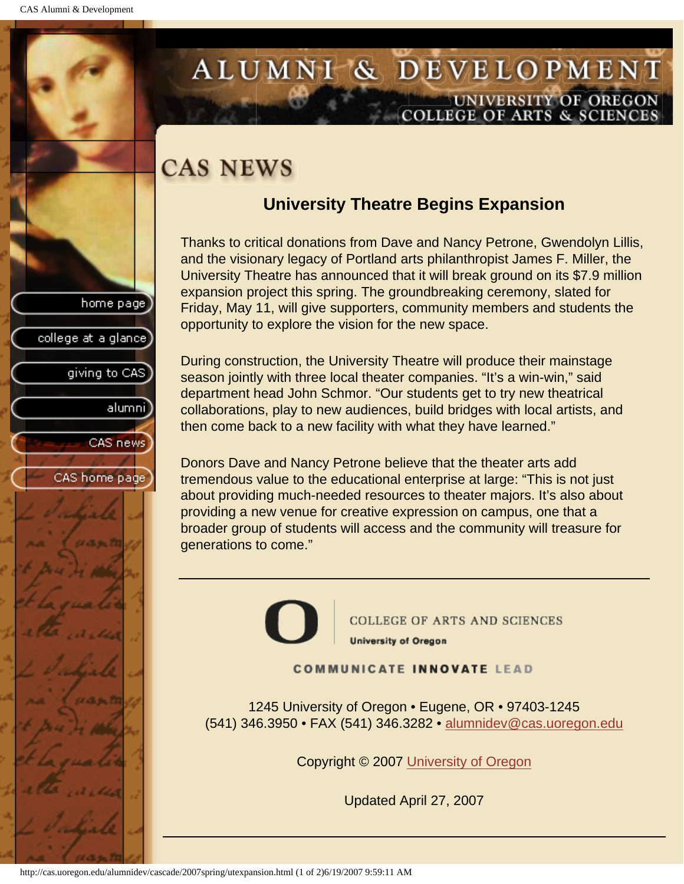college at a glance

giving to CAS

alumnil

CAS news

CAS home page

## <span id="page-34-0"></span>ALUMNI & DEVELOPMENT UNIVERSITY OF OREGON **COLLEGE OF ARTS & SCIENCE**

# **CAS NEWS**

## **University Theatre Begins Expansion**

Thanks to critical donations from Dave and Nancy Petrone, Gwendolyn Lillis, and the visionary legacy of Portland arts philanthropist James F. Miller, the University Theatre has announced that it will break ground on its \$7.9 million expansion project this spring. The groundbreaking ceremony, slated for Friday, May 11, will give supporters, community members and students the opportunity to explore the vision for the new space.

During construction, the University Theatre will produce their mainstage season jointly with three local theater companies. "It's a win-win," said department head John Schmor. "Our students get to try new theatrical collaborations, play to new audiences, build bridges with local artists, and then come back to a new facility with what they have learned."

Donors Dave and Nancy Petrone believe that the theater arts add tremendous value to the educational enterprise at large: "This is not just about providing much-needed resources to theater majors. It's also about providing a new venue for creative expression on campus, one that a broader group of students will access and the community will treasure for generations to come."



**COLLEGE OF ARTS AND SCIENCES University of Oregon** 

**COMMUNICATE INNOVATE LEAD** 

1245 University of Oregon • Eugene, OR • 97403-1245 (541) 346.3950 • FAX (541) 346.3282 • alumnidev@cas.uoregon.edu

Copyright © 2007 University of Oregon

Updated April 27, 2007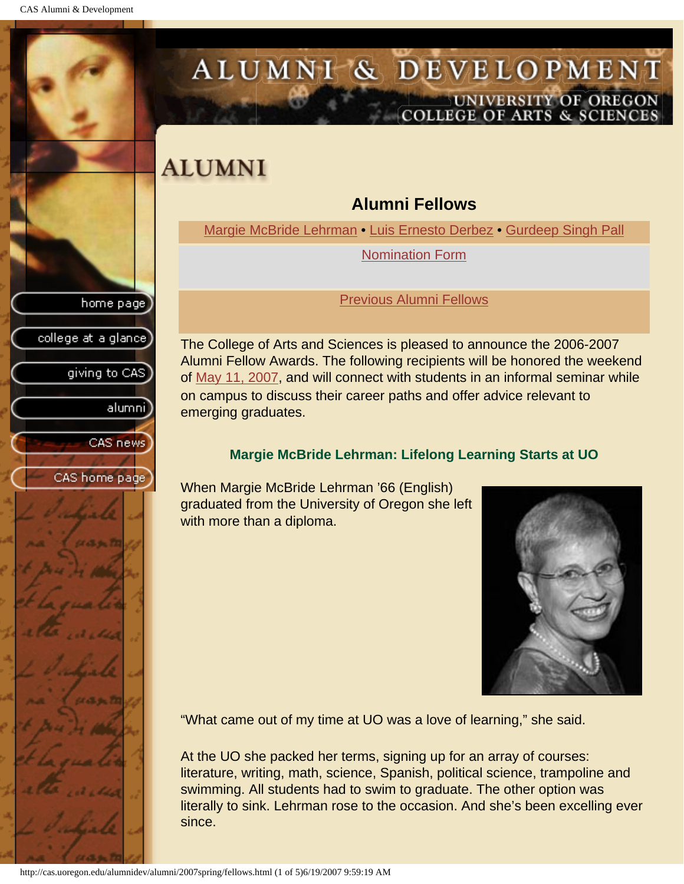<span id="page-35-1"></span><span id="page-35-0"></span>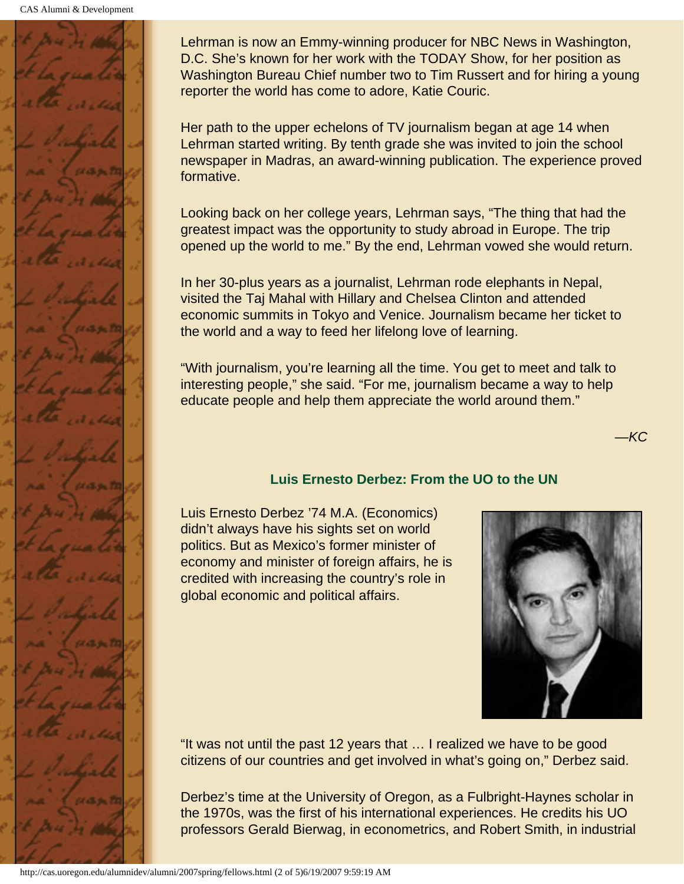

Lehrman is now an Emmy-winning producer for NBC News in Washington, D.C. She's known for her work with the TODAY Show, for her position as Washington Bureau Chief number two to Tim Russert and for hiring a young reporter the world has come to adore, Katie Couric.

Her path to the upper echelons of TV journalism began at age 14 when Lehrman started writing. By tenth grade she was invited to join the school newspaper in Madras, an award-winning publication. The experience proved formative.

Looking back on her college years, Lehrman says, "The thing that had the greatest impact was the opportunity to study abroad in Europe. The trip opened up the world to me." By the end, Lehrman vowed she would return.

In her 30-plus years as a journalist, Lehrman rode elephants in Nepal, visited the Taj Mahal with Hillary and Chelsea Clinton and attended economic summits in Tokyo and Venice. Journalism became her ticket to the world and a way to feed her lifelong love of learning.

"With journalism, you're learning all the time. You get to meet and talk to interesting people," she said. "For me, journalism became a way to help educate people and help them appreciate the world around them."

*—KC*

### **Luis Ernesto Derbez: From the UO to the UN**

<span id="page-36-0"></span>Luis Ernesto Derbez '74 M.A. (Economics) didn't always have his sights set on world politics. But as Mexico's former minister of economy and minister of foreign affairs, he is credited with increasing the country's role in global economic and political affairs.



"It was not until the past 12 years that … I realized we have to be good citizens of our countries and get involved in what's going on," Derbez said.

Derbez's time at the University of Oregon, as a Fulbright-Haynes scholar in the 1970s, was the first of his international experiences. He credits his UO professors Gerald Bierwag, in econometrics, and Robert Smith, in industrial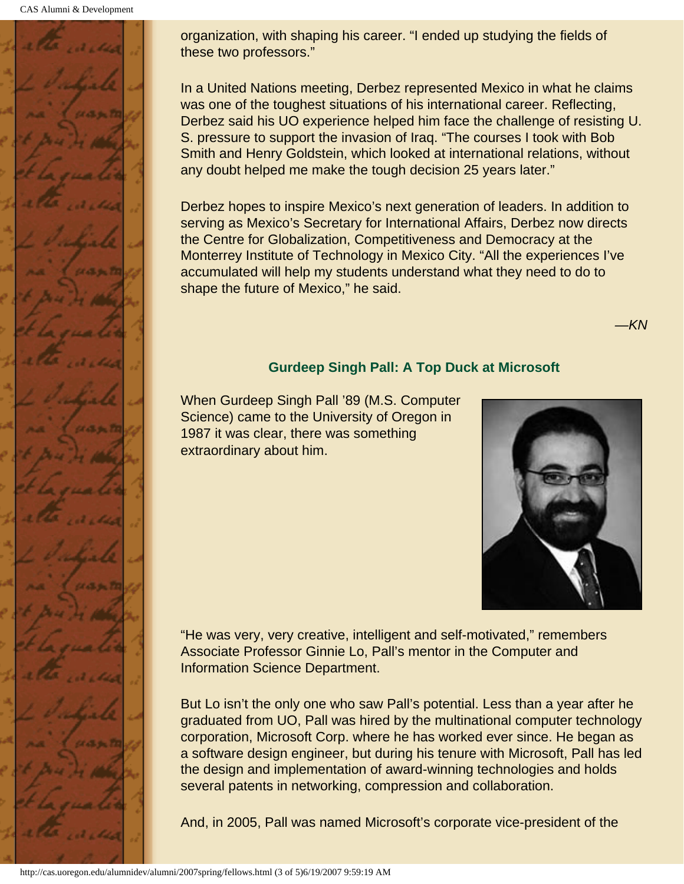CAS Alumni & Development



organization, with shaping his career. "I ended up studying the fields of these two professors."

In a United Nations meeting, Derbez represented Mexico in what he claims was one of the toughest situations of his international career. Reflecting, Derbez said his UO experience helped him face the challenge of resisting U. S. pressure to support the invasion of Iraq. "The courses I took with Bob Smith and Henry Goldstein, which looked at international relations, without any doubt helped me make the tough decision 25 years later."

Derbez hopes to inspire Mexico's next generation of leaders. In addition to serving as Mexico's Secretary for International Affairs, Derbez now directs the Centre for Globalization, Competitiveness and Democracy at the Monterrey Institute of Technology in Mexico City. "All the experiences I've accumulated will help my students understand what they need to do to shape the future of Mexico," he said.

*—KN*

#### **Gurdeep Singh Pall: A Top Duck at Microsoft**

<span id="page-37-0"></span>When Gurdeep Singh Pall '89 (M.S. Computer Science) came to the University of Oregon in 1987 it was clear, there was something extraordinary about him.



"He was very, very creative, intelligent and self-motivated," remembers Associate Professor Ginnie Lo, Pall's mentor in the Computer and Information Science Department.

But Lo isn't the only one who saw Pall's potential. Less than a year after he graduated from UO, Pall was hired by the multinational computer technology corporation, Microsoft Corp. where he has worked ever since. He began as a software design engineer, but during his tenure with Microsoft, Pall has led the design and implementation of award-winning technologies and holds several patents in networking, compression and collaboration.

And, in 2005, Pall was named Microsoft's corporate vice-president of the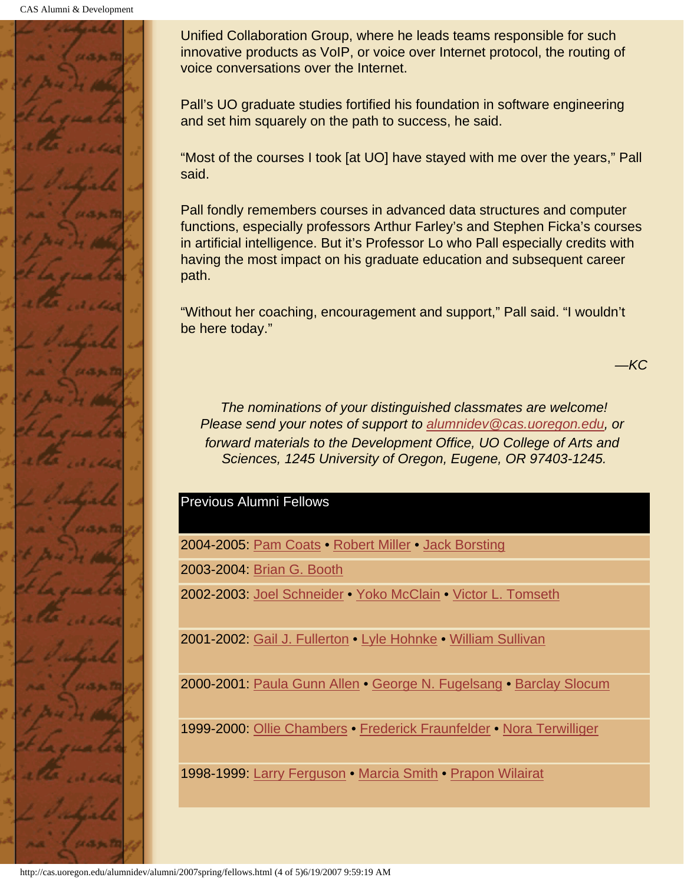

Unified Collaboration Group, where he leads teams responsible for such innovative products as VoIP, or voice over Internet protocol, the routing of voice conversations over the Internet.

Pall's UO graduate studies fortified his foundation in software engineering and set him squarely on the path to success, he said.

"Most of the courses I took [at UO] have stayed with me over the years," Pall said.

Pall fondly remembers courses in advanced data structures and computer functions, especially professors Arthur Farley's and Stephen Ficka's courses in artificial intelligence. But it's Professor Lo who Pall especially credits with having the most impact on his graduate education and subsequent career path.

"Without her coaching, encouragement and support," Pall said. "I wouldn't be here today."

*—KC*

*The nominations of your distinguished classmates are welcome! Please send your notes of support to alumnidev@cas.uoregon.edu, or forward materials to the Development Office, UO College of Arts and Sciences, 1245 University of Oregon, Eugene, OR 97403-1245.*

#### <span id="page-38-0"></span>Previous Alumni Fellows

2004-2005: Pam Coats • Robert Miller • Jack Borsting

2003-2004: Brian G. Booth

2002-2003: Joel Schneider • Yoko McClain • Victor L. Tomseth

2001-2002: Gail J. Fullerton • Lyle Hohnke • William Sullivan

2000-2001: Paula Gunn Allen • George N. Fugelsang • Barclay Slocum

1999-2000: Ollie Chambers • Frederick Fraunfelder • Nora Terwilliger

1998-1999: Larry Ferguson • Marcia Smith • Prapon Wilairat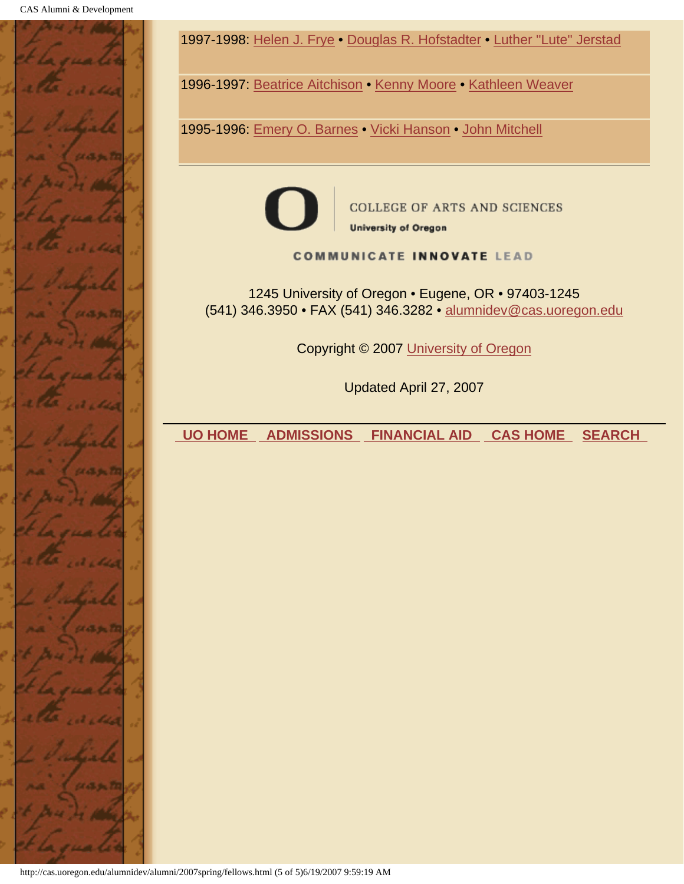

1997-1998: Helen J. Frye • Douglas R. Hofstadter • Luther "Lute" Jerstad

1996-1997: Beatrice Aitchison • Kenny Moore • Kathleen Weaver

1995-1996: Emery O. Barnes • Vicki Hanson • John Mitchell



**COLLEGE OF ARTS AND SCIENCES** 

**University of Oregon** 

**COMMUNICATE INNOVATE LEAD** 

1245 University of Oregon • Eugene, OR • 97403-1245 (541) 346.3950 • FAX (541) 346.3282 • alumnidev@cas.uoregon.edu

Copyright © 2007 University of Oregon

Updated April 27, 2007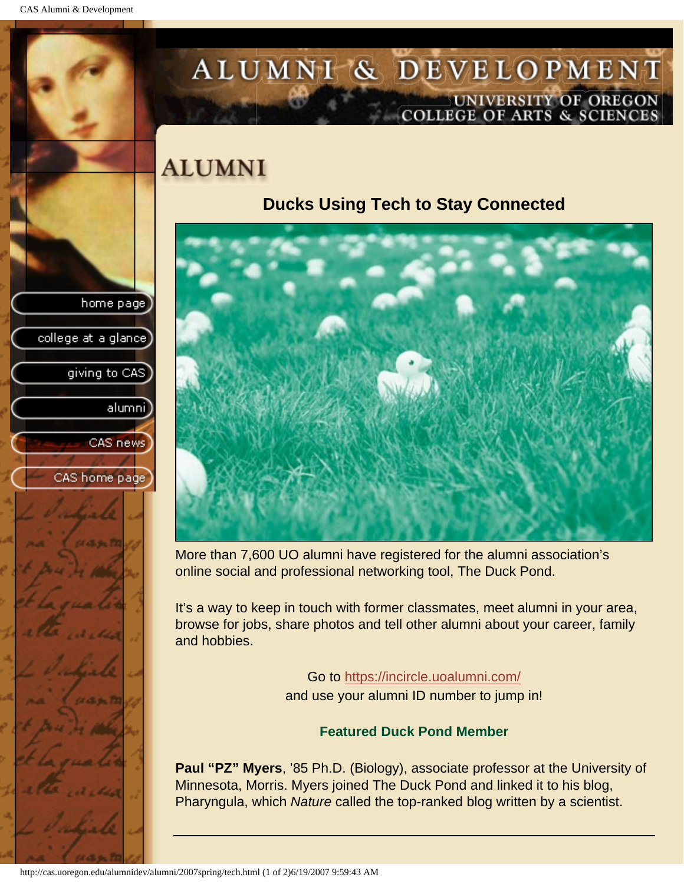college at a glance]

giving to CAS

alumni

CAS news

CAS home page

# <span id="page-40-0"></span>ALUMNI & DEVELOPMENT UNIVERSITY OF OREGON<br>COLLEGE OF ARTS & SCIENCES

# **ALUMNI**

## **Ducks Using Tech to Stay Connected**



More than 7,600 UO alumni have registered for the alumni association's online social and professional networking tool, The Duck Pond.

It's a way to keep in touch with former classmates, meet alumni in your area, browse for jobs, share photos and tell other alumni about your career, family and hobbies.

Go to https://incircle.uoalumni.com/

and use your alumni ID number to jump in!

### **Featured Duck Pond Member**

**Paul "PZ" Myers**, '85 Ph.D. (Biology), associate professor at the University of Minnesota, Morris. Myers joined The Duck Pond and linked it to his blog, Pharyngula, which *Nature* called the top-ranked blog written by a scientist.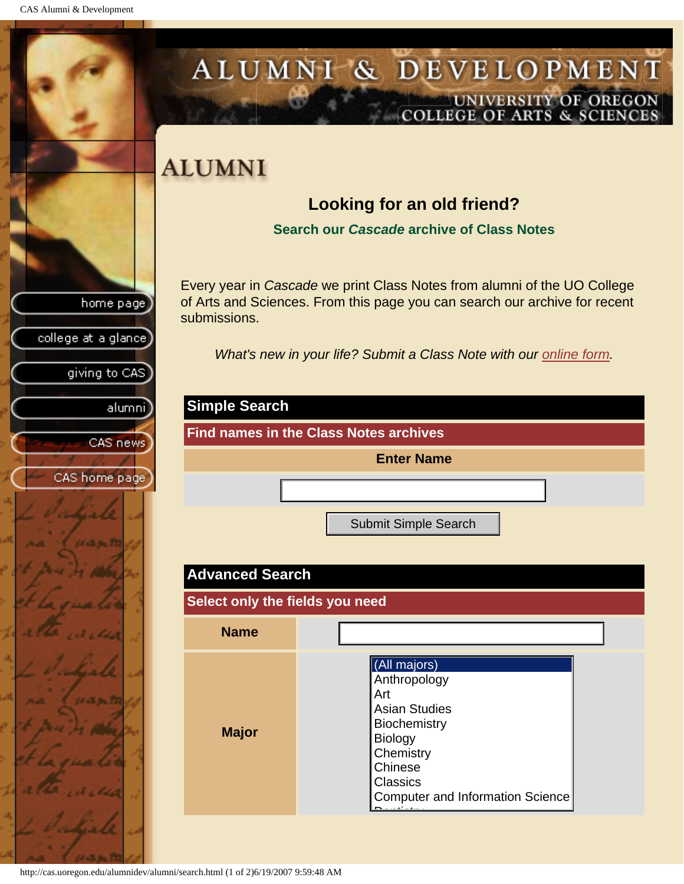